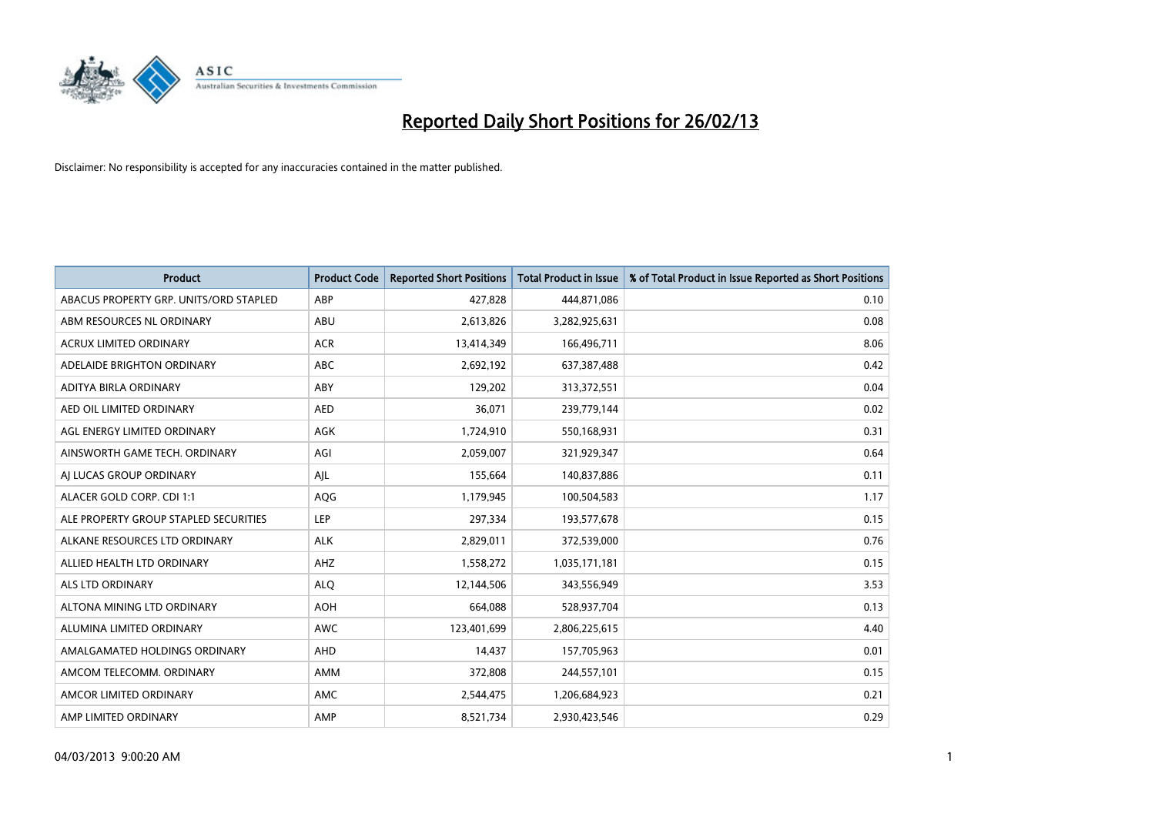

| <b>Product</b>                         | <b>Product Code</b> | <b>Reported Short Positions</b> | <b>Total Product in Issue</b> | % of Total Product in Issue Reported as Short Positions |
|----------------------------------------|---------------------|---------------------------------|-------------------------------|---------------------------------------------------------|
| ABACUS PROPERTY GRP. UNITS/ORD STAPLED | ABP                 | 427,828                         | 444,871,086                   | 0.10                                                    |
| ABM RESOURCES NL ORDINARY              | ABU                 | 2,613,826                       | 3,282,925,631                 | 0.08                                                    |
| <b>ACRUX LIMITED ORDINARY</b>          | <b>ACR</b>          | 13,414,349                      | 166,496,711                   | 8.06                                                    |
| ADELAIDE BRIGHTON ORDINARY             | <b>ABC</b>          | 2,692,192                       | 637, 387, 488                 | 0.42                                                    |
| ADITYA BIRLA ORDINARY                  | ABY                 | 129,202                         | 313,372,551                   | 0.04                                                    |
| AED OIL LIMITED ORDINARY               | <b>AED</b>          | 36,071                          | 239,779,144                   | 0.02                                                    |
| AGL ENERGY LIMITED ORDINARY            | AGK                 | 1,724,910                       | 550,168,931                   | 0.31                                                    |
| AINSWORTH GAME TECH. ORDINARY          | AGI                 | 2,059,007                       | 321,929,347                   | 0.64                                                    |
| AI LUCAS GROUP ORDINARY                | AJL                 | 155,664                         | 140,837,886                   | 0.11                                                    |
| ALACER GOLD CORP. CDI 1:1              | AQG                 | 1,179,945                       | 100,504,583                   | 1.17                                                    |
| ALE PROPERTY GROUP STAPLED SECURITIES  | <b>LEP</b>          | 297,334                         | 193,577,678                   | 0.15                                                    |
| ALKANE RESOURCES LTD ORDINARY          | <b>ALK</b>          | 2,829,011                       | 372,539,000                   | 0.76                                                    |
| ALLIED HEALTH LTD ORDINARY             | AHZ                 | 1,558,272                       | 1,035,171,181                 | 0.15                                                    |
| ALS LTD ORDINARY                       | <b>ALQ</b>          | 12,144,506                      | 343,556,949                   | 3.53                                                    |
| ALTONA MINING LTD ORDINARY             | <b>AOH</b>          | 664,088                         | 528,937,704                   | 0.13                                                    |
| ALUMINA LIMITED ORDINARY               | <b>AWC</b>          | 123,401,699                     | 2,806,225,615                 | 4.40                                                    |
| AMALGAMATED HOLDINGS ORDINARY          | AHD                 | 14,437                          | 157,705,963                   | 0.01                                                    |
| AMCOM TELECOMM, ORDINARY               | AMM                 | 372,808                         | 244,557,101                   | 0.15                                                    |
| AMCOR LIMITED ORDINARY                 | AMC                 | 2,544,475                       | 1,206,684,923                 | 0.21                                                    |
| AMP LIMITED ORDINARY                   | AMP                 | 8,521,734                       | 2,930,423,546                 | 0.29                                                    |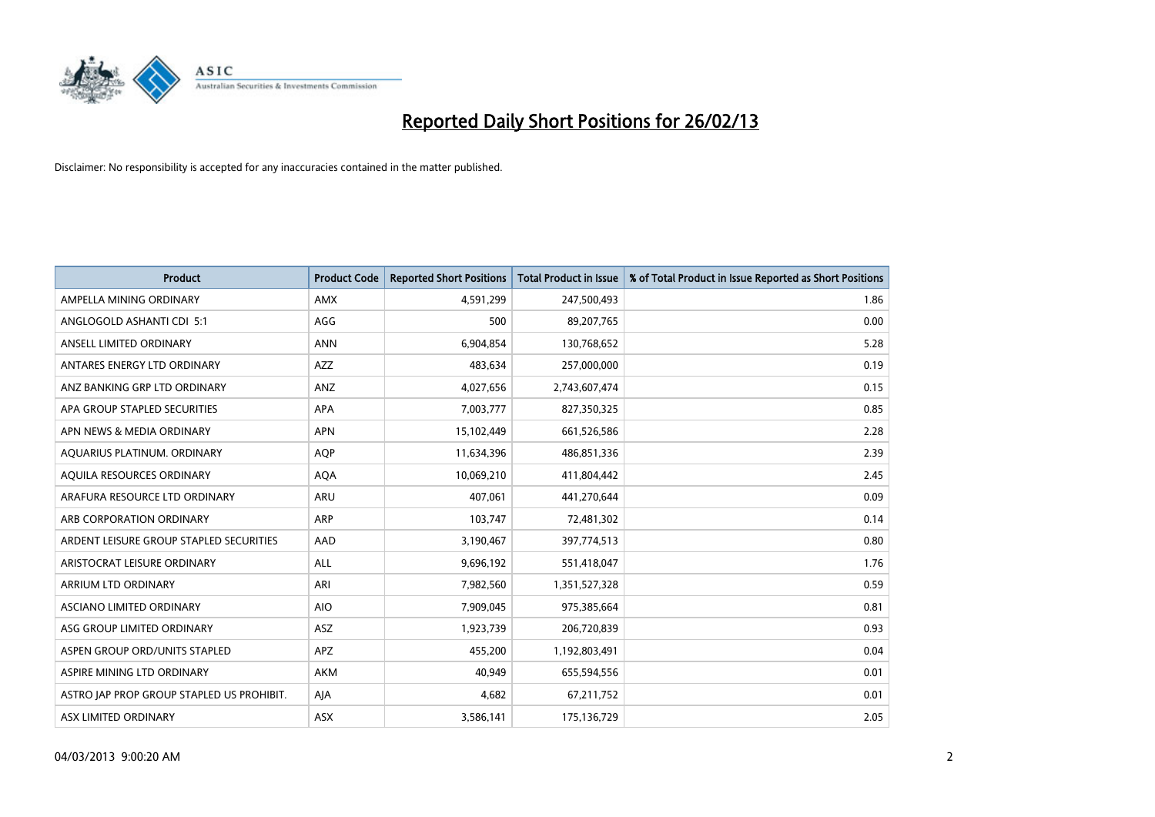

| <b>Product</b>                            | <b>Product Code</b> | <b>Reported Short Positions</b> | <b>Total Product in Issue</b> | % of Total Product in Issue Reported as Short Positions |
|-------------------------------------------|---------------------|---------------------------------|-------------------------------|---------------------------------------------------------|
| AMPELLA MINING ORDINARY                   | <b>AMX</b>          | 4,591,299                       | 247,500,493                   | 1.86                                                    |
| ANGLOGOLD ASHANTI CDI 5:1                 | AGG                 | 500                             | 89,207,765                    | 0.00                                                    |
| ANSELL LIMITED ORDINARY                   | <b>ANN</b>          | 6,904,854                       | 130,768,652                   | 5.28                                                    |
| ANTARES ENERGY LTD ORDINARY               | AZZ                 | 483.634                         | 257,000,000                   | 0.19                                                    |
| ANZ BANKING GRP LTD ORDINARY              | ANZ                 | 4,027,656                       | 2,743,607,474                 | 0.15                                                    |
| APA GROUP STAPLED SECURITIES              | <b>APA</b>          | 7,003,777                       | 827,350,325                   | 0.85                                                    |
| APN NEWS & MEDIA ORDINARY                 | <b>APN</b>          | 15,102,449                      | 661,526,586                   | 2.28                                                    |
| AQUARIUS PLATINUM. ORDINARY               | <b>AQP</b>          | 11,634,396                      | 486,851,336                   | 2.39                                                    |
| AQUILA RESOURCES ORDINARY                 | <b>AQA</b>          | 10,069,210                      | 411,804,442                   | 2.45                                                    |
| ARAFURA RESOURCE LTD ORDINARY             | ARU                 | 407,061                         | 441,270,644                   | 0.09                                                    |
| ARB CORPORATION ORDINARY                  | ARP                 | 103,747                         | 72,481,302                    | 0.14                                                    |
| ARDENT LEISURE GROUP STAPLED SECURITIES   | AAD                 | 3,190,467                       | 397,774,513                   | 0.80                                                    |
| ARISTOCRAT LEISURE ORDINARY               | ALL                 | 9,696,192                       | 551,418,047                   | 1.76                                                    |
| ARRIUM LTD ORDINARY                       | ARI                 | 7,982,560                       | 1,351,527,328                 | 0.59                                                    |
| ASCIANO LIMITED ORDINARY                  | <b>AIO</b>          | 7,909,045                       | 975,385,664                   | 0.81                                                    |
| ASG GROUP LIMITED ORDINARY                | ASZ                 | 1,923,739                       | 206,720,839                   | 0.93                                                    |
| ASPEN GROUP ORD/UNITS STAPLED             | APZ                 | 455,200                         | 1,192,803,491                 | 0.04                                                    |
| ASPIRE MINING LTD ORDINARY                | <b>AKM</b>          | 40.949                          | 655,594,556                   | 0.01                                                    |
| ASTRO JAP PROP GROUP STAPLED US PROHIBIT. | AJA                 | 4,682                           | 67,211,752                    | 0.01                                                    |
| ASX LIMITED ORDINARY                      | ASX                 | 3,586,141                       | 175,136,729                   | 2.05                                                    |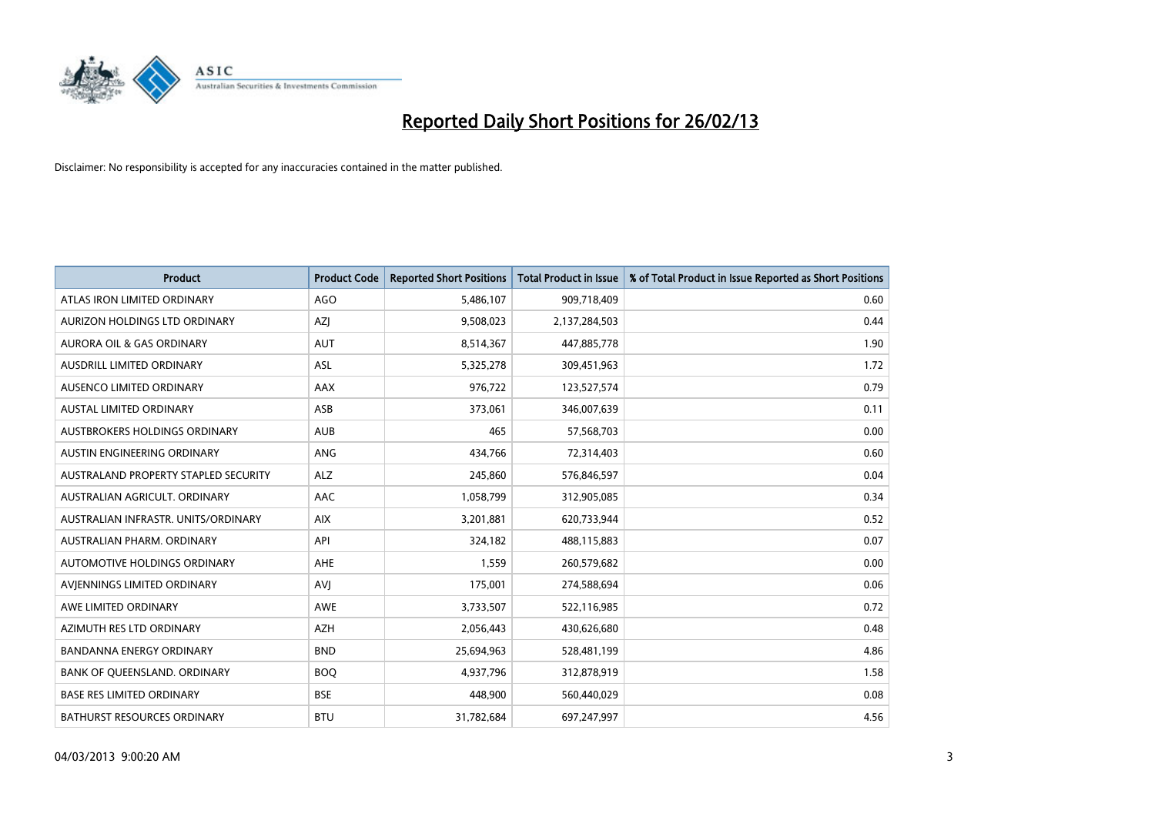

| <b>Product</b>                       | <b>Product Code</b> | <b>Reported Short Positions</b> | <b>Total Product in Issue</b> | % of Total Product in Issue Reported as Short Positions |
|--------------------------------------|---------------------|---------------------------------|-------------------------------|---------------------------------------------------------|
| ATLAS IRON LIMITED ORDINARY          | AGO                 | 5,486,107                       | 909,718,409                   | 0.60                                                    |
| AURIZON HOLDINGS LTD ORDINARY        | AZJ                 | 9,508,023                       | 2,137,284,503                 | 0.44                                                    |
| AURORA OIL & GAS ORDINARY            | <b>AUT</b>          | 8,514,367                       | 447,885,778                   | 1.90                                                    |
| AUSDRILL LIMITED ORDINARY            | <b>ASL</b>          | 5,325,278                       | 309,451,963                   | 1.72                                                    |
| AUSENCO LIMITED ORDINARY             | AAX                 | 976,722                         | 123,527,574                   | 0.79                                                    |
| <b>AUSTAL LIMITED ORDINARY</b>       | ASB                 | 373,061                         | 346,007,639                   | 0.11                                                    |
| AUSTBROKERS HOLDINGS ORDINARY        | <b>AUB</b>          | 465                             | 57,568,703                    | 0.00                                                    |
| AUSTIN ENGINEERING ORDINARY          | ANG                 | 434,766                         | 72,314,403                    | 0.60                                                    |
| AUSTRALAND PROPERTY STAPLED SECURITY | <b>ALZ</b>          | 245,860                         | 576,846,597                   | 0.04                                                    |
| AUSTRALIAN AGRICULT, ORDINARY        | AAC                 | 1,058,799                       | 312,905,085                   | 0.34                                                    |
| AUSTRALIAN INFRASTR. UNITS/ORDINARY  | <b>AIX</b>          | 3,201,881                       | 620,733,944                   | 0.52                                                    |
| AUSTRALIAN PHARM. ORDINARY           | API                 | 324,182                         | 488,115,883                   | 0.07                                                    |
| <b>AUTOMOTIVE HOLDINGS ORDINARY</b>  | <b>AHE</b>          | 1,559                           | 260,579,682                   | 0.00                                                    |
| AVIENNINGS LIMITED ORDINARY          | <b>AVI</b>          | 175,001                         | 274,588,694                   | 0.06                                                    |
| AWE LIMITED ORDINARY                 | <b>AWE</b>          | 3,733,507                       | 522,116,985                   | 0.72                                                    |
| AZIMUTH RES LTD ORDINARY             | <b>AZH</b>          | 2,056,443                       | 430,626,680                   | 0.48                                                    |
| BANDANNA ENERGY ORDINARY             | <b>BND</b>          | 25,694,963                      | 528,481,199                   | 4.86                                                    |
| BANK OF QUEENSLAND. ORDINARY         | <b>BOQ</b>          | 4,937,796                       | 312,878,919                   | 1.58                                                    |
| <b>BASE RES LIMITED ORDINARY</b>     | <b>BSE</b>          | 448,900                         | 560,440,029                   | 0.08                                                    |
| BATHURST RESOURCES ORDINARY          | <b>BTU</b>          | 31,782,684                      | 697,247,997                   | 4.56                                                    |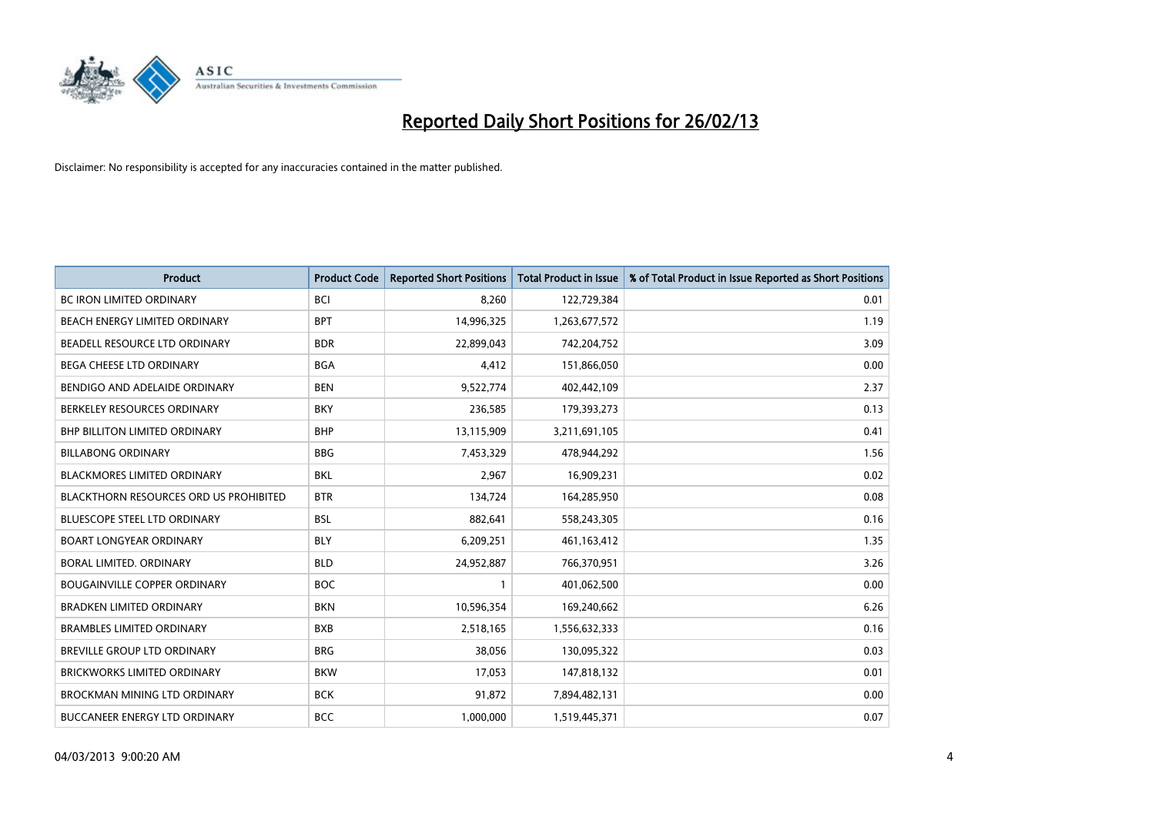

| <b>Product</b>                                | <b>Product Code</b> | <b>Reported Short Positions</b> | <b>Total Product in Issue</b> | % of Total Product in Issue Reported as Short Positions |
|-----------------------------------------------|---------------------|---------------------------------|-------------------------------|---------------------------------------------------------|
| <b>BC IRON LIMITED ORDINARY</b>               | <b>BCI</b>          | 8,260                           | 122,729,384                   | 0.01                                                    |
| BEACH ENERGY LIMITED ORDINARY                 | <b>BPT</b>          | 14,996,325                      | 1,263,677,572                 | 1.19                                                    |
| BEADELL RESOURCE LTD ORDINARY                 | <b>BDR</b>          | 22,899,043                      | 742,204,752                   | 3.09                                                    |
| <b>BEGA CHEESE LTD ORDINARY</b>               | <b>BGA</b>          | 4,412                           | 151,866,050                   | 0.00                                                    |
| BENDIGO AND ADELAIDE ORDINARY                 | <b>BEN</b>          | 9,522,774                       | 402,442,109                   | 2.37                                                    |
| BERKELEY RESOURCES ORDINARY                   | <b>BKY</b>          | 236,585                         | 179,393,273                   | 0.13                                                    |
| <b>BHP BILLITON LIMITED ORDINARY</b>          | <b>BHP</b>          | 13,115,909                      | 3,211,691,105                 | 0.41                                                    |
| <b>BILLABONG ORDINARY</b>                     | <b>BBG</b>          | 7,453,329                       | 478,944,292                   | 1.56                                                    |
| <b>BLACKMORES LIMITED ORDINARY</b>            | <b>BKL</b>          | 2,967                           | 16,909,231                    | 0.02                                                    |
| <b>BLACKTHORN RESOURCES ORD US PROHIBITED</b> | <b>BTR</b>          | 134,724                         | 164,285,950                   | 0.08                                                    |
| BLUESCOPE STEEL LTD ORDINARY                  | <b>BSL</b>          | 882,641                         | 558,243,305                   | 0.16                                                    |
| <b>BOART LONGYEAR ORDINARY</b>                | <b>BLY</b>          | 6,209,251                       | 461, 163, 412                 | 1.35                                                    |
| BORAL LIMITED, ORDINARY                       | <b>BLD</b>          | 24,952,887                      | 766,370,951                   | 3.26                                                    |
| <b>BOUGAINVILLE COPPER ORDINARY</b>           | <b>BOC</b>          | $\mathbf{1}$                    | 401,062,500                   | 0.00                                                    |
| <b>BRADKEN LIMITED ORDINARY</b>               | <b>BKN</b>          | 10,596,354                      | 169,240,662                   | 6.26                                                    |
| <b>BRAMBLES LIMITED ORDINARY</b>              | <b>BXB</b>          | 2,518,165                       | 1,556,632,333                 | 0.16                                                    |
| BREVILLE GROUP LTD ORDINARY                   | <b>BRG</b>          | 38,056                          | 130,095,322                   | 0.03                                                    |
| <b>BRICKWORKS LIMITED ORDINARY</b>            | <b>BKW</b>          | 17,053                          | 147,818,132                   | 0.01                                                    |
| <b>BROCKMAN MINING LTD ORDINARY</b>           | <b>BCK</b>          | 91,872                          | 7,894,482,131                 | 0.00                                                    |
| BUCCANEER ENERGY LTD ORDINARY                 | <b>BCC</b>          | 1,000,000                       | 1,519,445,371                 | 0.07                                                    |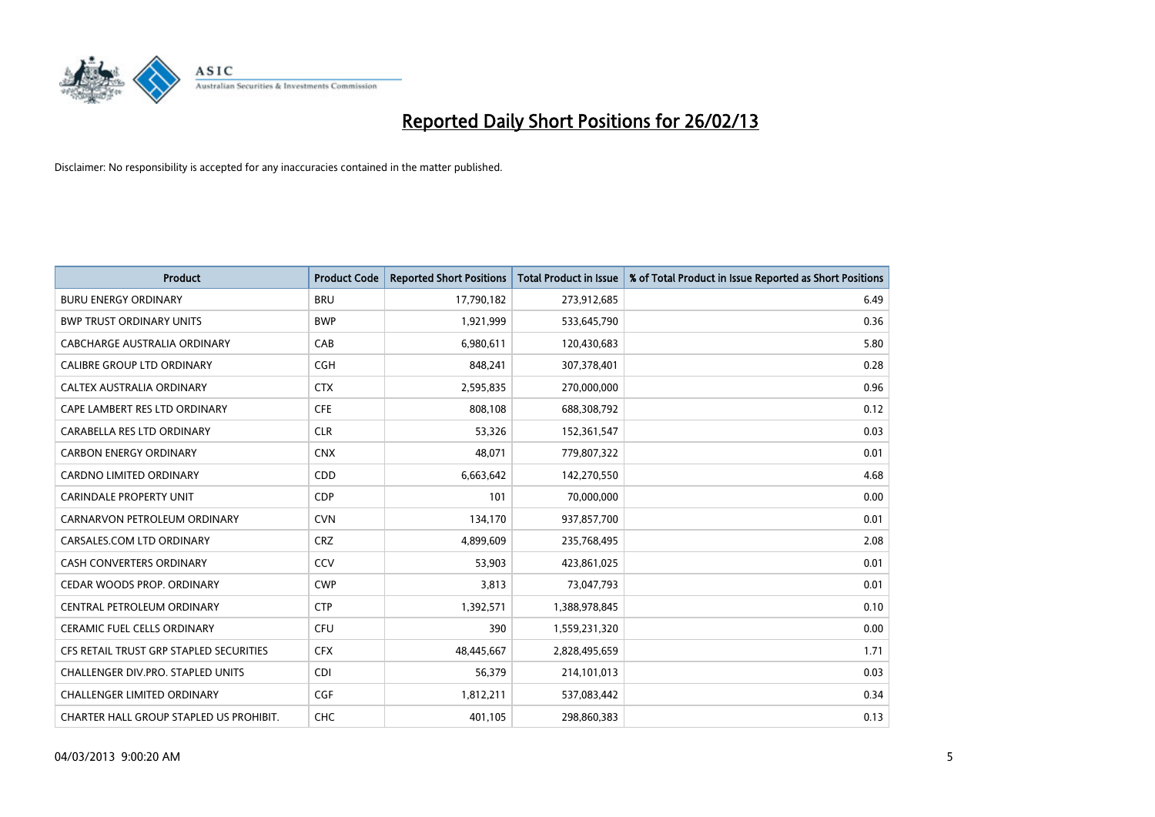

| <b>Product</b>                          | <b>Product Code</b> | <b>Reported Short Positions</b> | <b>Total Product in Issue</b> | % of Total Product in Issue Reported as Short Positions |
|-----------------------------------------|---------------------|---------------------------------|-------------------------------|---------------------------------------------------------|
| <b>BURU ENERGY ORDINARY</b>             | <b>BRU</b>          | 17,790,182                      | 273,912,685                   | 6.49                                                    |
| <b>BWP TRUST ORDINARY UNITS</b>         | <b>BWP</b>          | 1,921,999                       | 533,645,790                   | 0.36                                                    |
| CABCHARGE AUSTRALIA ORDINARY            | CAB                 | 6,980,611                       | 120,430,683                   | 5.80                                                    |
| <b>CALIBRE GROUP LTD ORDINARY</b>       | <b>CGH</b>          | 848,241                         | 307,378,401                   | 0.28                                                    |
| CALTEX AUSTRALIA ORDINARY               | <b>CTX</b>          | 2,595,835                       | 270,000,000                   | 0.96                                                    |
| CAPE LAMBERT RES LTD ORDINARY           | <b>CFE</b>          | 808,108                         | 688,308,792                   | 0.12                                                    |
| CARABELLA RES LTD ORDINARY              | <b>CLR</b>          | 53,326                          | 152,361,547                   | 0.03                                                    |
| <b>CARBON ENERGY ORDINARY</b>           | <b>CNX</b>          | 48,071                          | 779,807,322                   | 0.01                                                    |
| <b>CARDNO LIMITED ORDINARY</b>          | CDD                 | 6,663,642                       | 142,270,550                   | 4.68                                                    |
| <b>CARINDALE PROPERTY UNIT</b>          | <b>CDP</b>          | 101                             | 70,000,000                    | 0.00                                                    |
| CARNARVON PETROLEUM ORDINARY            | <b>CVN</b>          | 134,170                         | 937,857,700                   | 0.01                                                    |
| CARSALES.COM LTD ORDINARY               | <b>CRZ</b>          | 4,899,609                       | 235,768,495                   | 2.08                                                    |
| CASH CONVERTERS ORDINARY                | CCV                 | 53,903                          | 423,861,025                   | 0.01                                                    |
| CEDAR WOODS PROP. ORDINARY              | <b>CWP</b>          | 3,813                           | 73,047,793                    | 0.01                                                    |
| CENTRAL PETROLEUM ORDINARY              | <b>CTP</b>          | 1,392,571                       | 1,388,978,845                 | 0.10                                                    |
| CERAMIC FUEL CELLS ORDINARY             | <b>CFU</b>          | 390                             | 1,559,231,320                 | 0.00                                                    |
| CFS RETAIL TRUST GRP STAPLED SECURITIES | <b>CFX</b>          | 48,445,667                      | 2,828,495,659                 | 1.71                                                    |
| CHALLENGER DIV.PRO. STAPLED UNITS       | <b>CDI</b>          | 56,379                          | 214,101,013                   | 0.03                                                    |
| <b>CHALLENGER LIMITED ORDINARY</b>      | <b>CGF</b>          | 1,812,211                       | 537,083,442                   | 0.34                                                    |
| CHARTER HALL GROUP STAPLED US PROHIBIT. | <b>CHC</b>          | 401,105                         | 298,860,383                   | 0.13                                                    |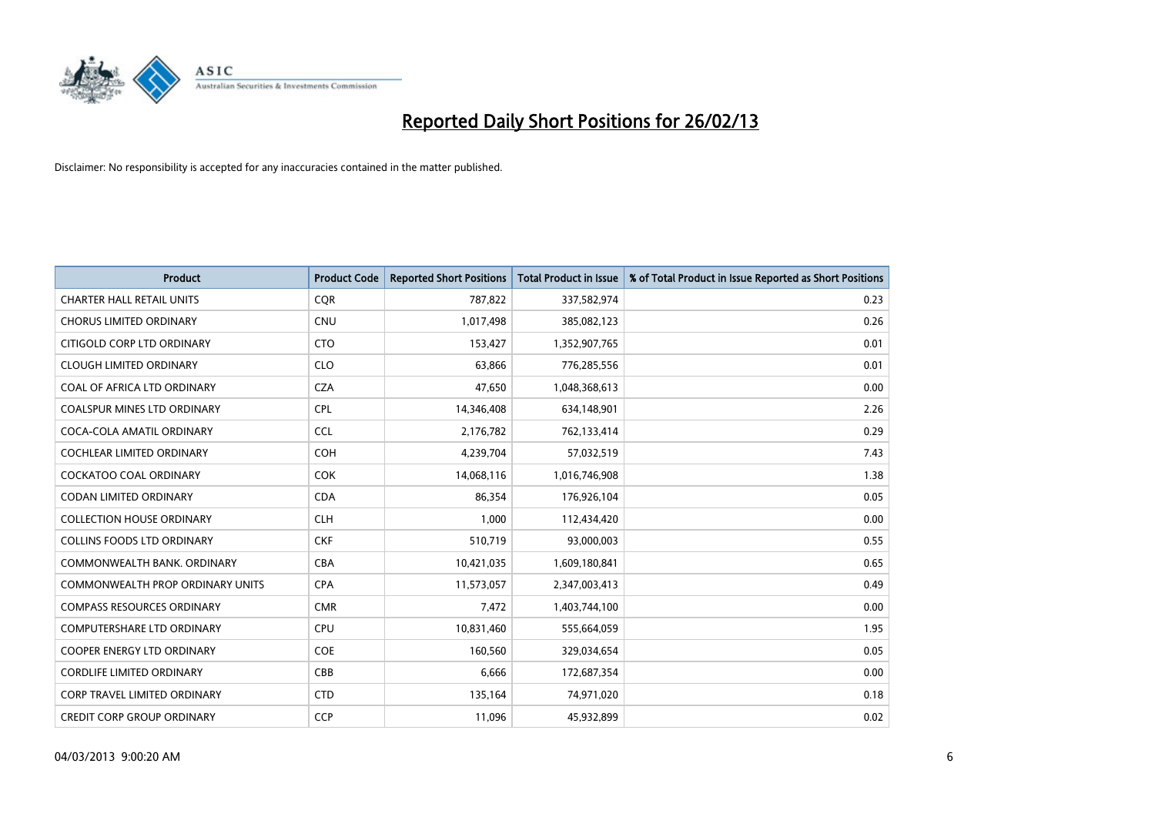

| <b>Product</b>                          | <b>Product Code</b> | <b>Reported Short Positions</b> | <b>Total Product in Issue</b> | % of Total Product in Issue Reported as Short Positions |
|-----------------------------------------|---------------------|---------------------------------|-------------------------------|---------------------------------------------------------|
| <b>CHARTER HALL RETAIL UNITS</b>        | <b>COR</b>          | 787,822                         | 337,582,974                   | 0.23                                                    |
| <b>CHORUS LIMITED ORDINARY</b>          | <b>CNU</b>          | 1,017,498                       | 385,082,123                   | 0.26                                                    |
| CITIGOLD CORP LTD ORDINARY              | <b>CTO</b>          | 153,427                         | 1,352,907,765                 | 0.01                                                    |
| <b>CLOUGH LIMITED ORDINARY</b>          | <b>CLO</b>          | 63,866                          | 776,285,556                   | 0.01                                                    |
| COAL OF AFRICA LTD ORDINARY             | <b>CZA</b>          | 47,650                          | 1,048,368,613                 | 0.00                                                    |
| <b>COALSPUR MINES LTD ORDINARY</b>      | <b>CPL</b>          | 14,346,408                      | 634,148,901                   | 2.26                                                    |
| COCA-COLA AMATIL ORDINARY               | <b>CCL</b>          | 2,176,782                       | 762,133,414                   | 0.29                                                    |
| COCHLEAR LIMITED ORDINARY               | <b>COH</b>          | 4,239,704                       | 57,032,519                    | 7.43                                                    |
| <b>COCKATOO COAL ORDINARY</b>           | <b>COK</b>          | 14,068,116                      | 1,016,746,908                 | 1.38                                                    |
| <b>CODAN LIMITED ORDINARY</b>           | <b>CDA</b>          | 86,354                          | 176,926,104                   | 0.05                                                    |
| <b>COLLECTION HOUSE ORDINARY</b>        | <b>CLH</b>          | 1,000                           | 112,434,420                   | 0.00                                                    |
| <b>COLLINS FOODS LTD ORDINARY</b>       | <b>CKF</b>          | 510,719                         | 93,000,003                    | 0.55                                                    |
| COMMONWEALTH BANK, ORDINARY             | <b>CBA</b>          | 10,421,035                      | 1,609,180,841                 | 0.65                                                    |
| <b>COMMONWEALTH PROP ORDINARY UNITS</b> | <b>CPA</b>          | 11,573,057                      | 2,347,003,413                 | 0.49                                                    |
| <b>COMPASS RESOURCES ORDINARY</b>       | <b>CMR</b>          | 7,472                           | 1,403,744,100                 | 0.00                                                    |
| COMPUTERSHARE LTD ORDINARY              | <b>CPU</b>          | 10,831,460                      | 555,664,059                   | 1.95                                                    |
| COOPER ENERGY LTD ORDINARY              | <b>COE</b>          | 160,560                         | 329,034,654                   | 0.05                                                    |
| <b>CORDLIFE LIMITED ORDINARY</b>        | CBB                 | 6,666                           | 172,687,354                   | 0.00                                                    |
| <b>CORP TRAVEL LIMITED ORDINARY</b>     | <b>CTD</b>          | 135,164                         | 74,971,020                    | 0.18                                                    |
| <b>CREDIT CORP GROUP ORDINARY</b>       | <b>CCP</b>          | 11,096                          | 45,932,899                    | 0.02                                                    |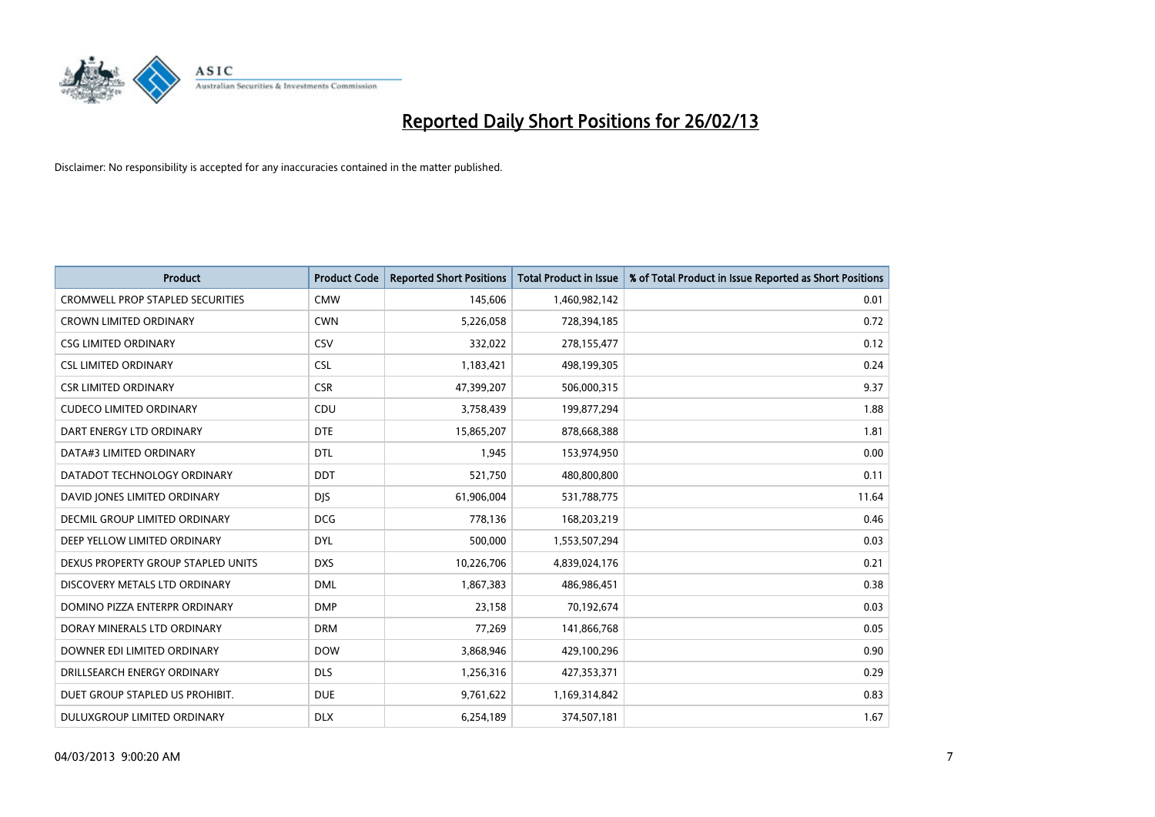

| <b>Product</b>                          | <b>Product Code</b> | <b>Reported Short Positions</b> | <b>Total Product in Issue</b> | % of Total Product in Issue Reported as Short Positions |
|-----------------------------------------|---------------------|---------------------------------|-------------------------------|---------------------------------------------------------|
| <b>CROMWELL PROP STAPLED SECURITIES</b> | <b>CMW</b>          | 145,606                         | 1,460,982,142                 | 0.01                                                    |
| <b>CROWN LIMITED ORDINARY</b>           | <b>CWN</b>          | 5,226,058                       | 728,394,185                   | 0.72                                                    |
| <b>CSG LIMITED ORDINARY</b>             | CSV                 | 332,022                         | 278,155,477                   | 0.12                                                    |
| <b>CSL LIMITED ORDINARY</b>             | <b>CSL</b>          | 1,183,421                       | 498,199,305                   | 0.24                                                    |
| <b>CSR LIMITED ORDINARY</b>             | <b>CSR</b>          | 47,399,207                      | 506,000,315                   | 9.37                                                    |
| <b>CUDECO LIMITED ORDINARY</b>          | CDU                 | 3,758,439                       | 199,877,294                   | 1.88                                                    |
| DART ENERGY LTD ORDINARY                | <b>DTE</b>          | 15,865,207                      | 878,668,388                   | 1.81                                                    |
| DATA#3 LIMITED ORDINARY                 | <b>DTL</b>          | 1,945                           | 153,974,950                   | 0.00                                                    |
| DATADOT TECHNOLOGY ORDINARY             | <b>DDT</b>          | 521,750                         | 480,800,800                   | 0.11                                                    |
| DAVID JONES LIMITED ORDINARY            | <b>DIS</b>          | 61,906,004                      | 531,788,775                   | 11.64                                                   |
| DECMIL GROUP LIMITED ORDINARY           | <b>DCG</b>          | 778,136                         | 168,203,219                   | 0.46                                                    |
| DEEP YELLOW LIMITED ORDINARY            | <b>DYL</b>          | 500,000                         | 1,553,507,294                 | 0.03                                                    |
| DEXUS PROPERTY GROUP STAPLED UNITS      | <b>DXS</b>          | 10,226,706                      | 4,839,024,176                 | 0.21                                                    |
| DISCOVERY METALS LTD ORDINARY           | <b>DML</b>          | 1,867,383                       | 486,986,451                   | 0.38                                                    |
| DOMINO PIZZA ENTERPR ORDINARY           | <b>DMP</b>          | 23,158                          | 70,192,674                    | 0.03                                                    |
| DORAY MINERALS LTD ORDINARY             | <b>DRM</b>          | 77,269                          | 141,866,768                   | 0.05                                                    |
| DOWNER EDI LIMITED ORDINARY             | <b>DOW</b>          | 3,868,946                       | 429,100,296                   | 0.90                                                    |
| DRILLSEARCH ENERGY ORDINARY             | <b>DLS</b>          | 1,256,316                       | 427,353,371                   | 0.29                                                    |
| DUET GROUP STAPLED US PROHIBIT.         | <b>DUE</b>          | 9,761,622                       | 1,169,314,842                 | 0.83                                                    |
| DULUXGROUP LIMITED ORDINARY             | <b>DLX</b>          | 6,254,189                       | 374,507,181                   | 1.67                                                    |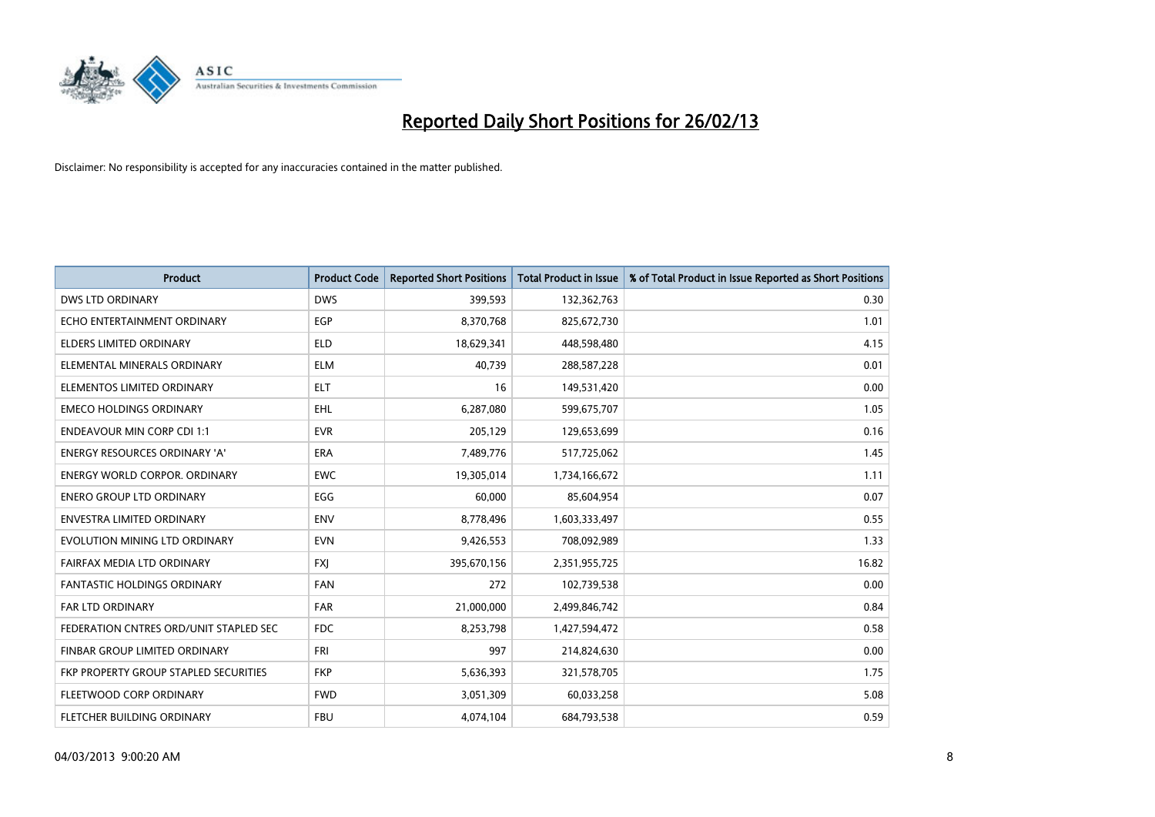

| <b>Product</b>                         | <b>Product Code</b> | <b>Reported Short Positions</b> | <b>Total Product in Issue</b> | % of Total Product in Issue Reported as Short Positions |
|----------------------------------------|---------------------|---------------------------------|-------------------------------|---------------------------------------------------------|
| <b>DWS LTD ORDINARY</b>                | <b>DWS</b>          | 399,593                         | 132,362,763                   | 0.30                                                    |
| ECHO ENTERTAINMENT ORDINARY            | <b>EGP</b>          | 8,370,768                       | 825,672,730                   | 1.01                                                    |
| ELDERS LIMITED ORDINARY                | ELD                 | 18,629,341                      | 448,598,480                   | 4.15                                                    |
| ELEMENTAL MINERALS ORDINARY            | <b>ELM</b>          | 40,739                          | 288,587,228                   | 0.01                                                    |
| ELEMENTOS LIMITED ORDINARY             | <b>ELT</b>          | 16                              | 149,531,420                   | 0.00                                                    |
| <b>EMECO HOLDINGS ORDINARY</b>         | EHL                 | 6,287,080                       | 599,675,707                   | 1.05                                                    |
| <b>ENDEAVOUR MIN CORP CDI 1:1</b>      | <b>EVR</b>          | 205,129                         | 129,653,699                   | 0.16                                                    |
| ENERGY RESOURCES ORDINARY 'A'          | <b>ERA</b>          | 7,489,776                       | 517,725,062                   | 1.45                                                    |
| <b>ENERGY WORLD CORPOR, ORDINARY</b>   | <b>EWC</b>          | 19,305,014                      | 1,734,166,672                 | 1.11                                                    |
| <b>ENERO GROUP LTD ORDINARY</b>        | EGG                 | 60,000                          | 85,604,954                    | 0.07                                                    |
| <b>ENVESTRA LIMITED ORDINARY</b>       | <b>ENV</b>          | 8,778,496                       | 1,603,333,497                 | 0.55                                                    |
| EVOLUTION MINING LTD ORDINARY          | <b>EVN</b>          | 9,426,553                       | 708,092,989                   | 1.33                                                    |
| FAIRFAX MEDIA LTD ORDINARY             | <b>FXI</b>          | 395,670,156                     | 2,351,955,725                 | 16.82                                                   |
| <b>FANTASTIC HOLDINGS ORDINARY</b>     | <b>FAN</b>          | 272                             | 102,739,538                   | 0.00                                                    |
| <b>FAR LTD ORDINARY</b>                | <b>FAR</b>          | 21,000,000                      | 2,499,846,742                 | 0.84                                                    |
| FEDERATION CNTRES ORD/UNIT STAPLED SEC | FDC                 | 8,253,798                       | 1,427,594,472                 | 0.58                                                    |
| FINBAR GROUP LIMITED ORDINARY          | <b>FRI</b>          | 997                             | 214,824,630                   | 0.00                                                    |
| FKP PROPERTY GROUP STAPLED SECURITIES  | <b>FKP</b>          | 5,636,393                       | 321,578,705                   | 1.75                                                    |
| FLEETWOOD CORP ORDINARY                | <b>FWD</b>          | 3,051,309                       | 60,033,258                    | 5.08                                                    |
| FLETCHER BUILDING ORDINARY             | <b>FBU</b>          | 4,074,104                       | 684,793,538                   | 0.59                                                    |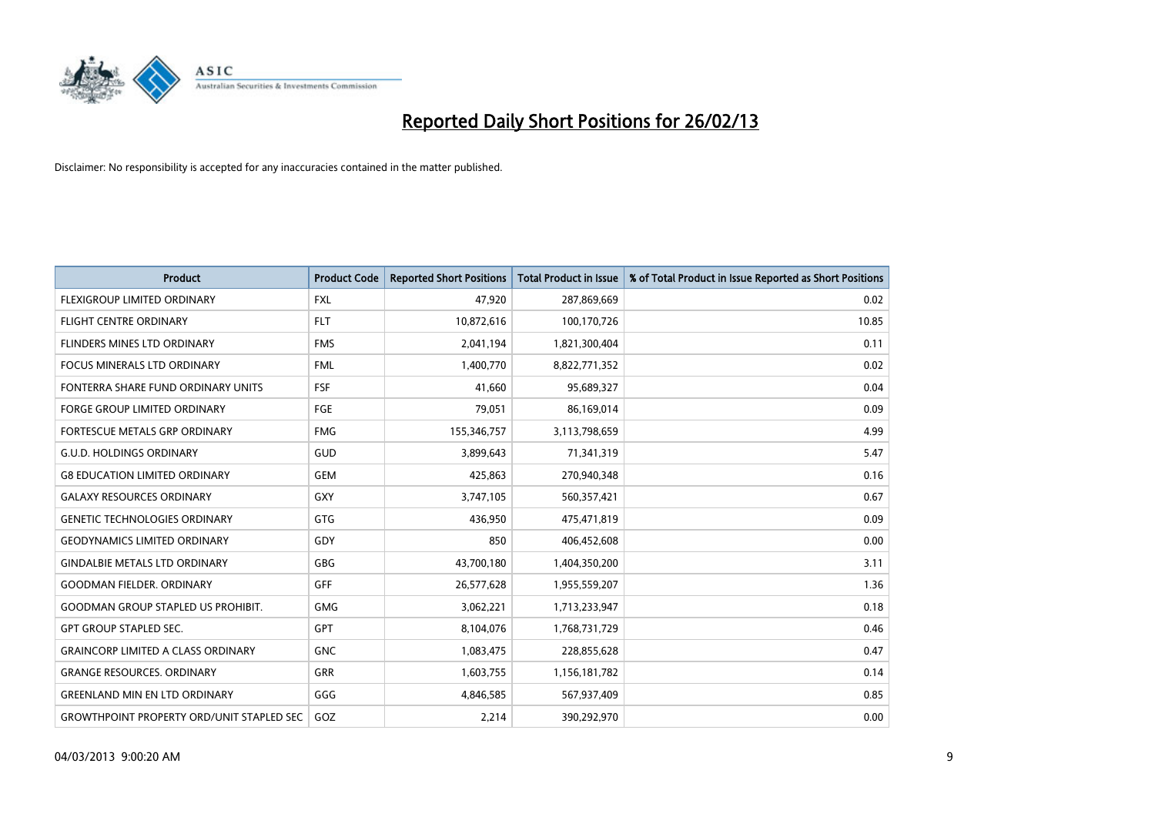

| <b>Product</b>                                   | <b>Product Code</b> | <b>Reported Short Positions</b> | <b>Total Product in Issue</b> | % of Total Product in Issue Reported as Short Positions |
|--------------------------------------------------|---------------------|---------------------------------|-------------------------------|---------------------------------------------------------|
| FLEXIGROUP LIMITED ORDINARY                      | <b>FXL</b>          | 47,920                          | 287,869,669                   | 0.02                                                    |
| <b>FLIGHT CENTRE ORDINARY</b>                    | <b>FLT</b>          | 10,872,616                      | 100,170,726                   | 10.85                                                   |
| FLINDERS MINES LTD ORDINARY                      | <b>FMS</b>          | 2,041,194                       | 1,821,300,404                 | 0.11                                                    |
| FOCUS MINERALS LTD ORDINARY                      | <b>FML</b>          | 1,400,770                       | 8,822,771,352                 | 0.02                                                    |
| FONTERRA SHARE FUND ORDINARY UNITS               | <b>FSF</b>          | 41,660                          | 95,689,327                    | 0.04                                                    |
| <b>FORGE GROUP LIMITED ORDINARY</b>              | <b>FGE</b>          | 79,051                          | 86,169,014                    | 0.09                                                    |
| <b>FORTESCUE METALS GRP ORDINARY</b>             | <b>FMG</b>          | 155,346,757                     | 3,113,798,659                 | 4.99                                                    |
| <b>G.U.D. HOLDINGS ORDINARY</b>                  | GUD                 | 3,899,643                       | 71,341,319                    | 5.47                                                    |
| <b>G8 EDUCATION LIMITED ORDINARY</b>             | <b>GEM</b>          | 425,863                         | 270,940,348                   | 0.16                                                    |
| <b>GALAXY RESOURCES ORDINARY</b>                 | GXY                 | 3,747,105                       | 560,357,421                   | 0.67                                                    |
| <b>GENETIC TECHNOLOGIES ORDINARY</b>             | GTG                 | 436,950                         | 475,471,819                   | 0.09                                                    |
| <b>GEODYNAMICS LIMITED ORDINARY</b>              | GDY                 | 850                             | 406,452,608                   | 0.00                                                    |
| <b>GINDALBIE METALS LTD ORDINARY</b>             | GBG                 | 43,700,180                      | 1,404,350,200                 | 3.11                                                    |
| <b>GOODMAN FIELDER, ORDINARY</b>                 | <b>GFF</b>          | 26,577,628                      | 1,955,559,207                 | 1.36                                                    |
| <b>GOODMAN GROUP STAPLED US PROHIBIT.</b>        | <b>GMG</b>          | 3,062,221                       | 1,713,233,947                 | 0.18                                                    |
| <b>GPT GROUP STAPLED SEC.</b>                    | GPT                 | 8,104,076                       | 1,768,731,729                 | 0.46                                                    |
| <b>GRAINCORP LIMITED A CLASS ORDINARY</b>        | <b>GNC</b>          | 1,083,475                       | 228,855,628                   | 0.47                                                    |
| <b>GRANGE RESOURCES, ORDINARY</b>                | GRR                 | 1,603,755                       | 1,156,181,782                 | 0.14                                                    |
| <b>GREENLAND MIN EN LTD ORDINARY</b>             | GGG                 | 4,846,585                       | 567,937,409                   | 0.85                                                    |
| <b>GROWTHPOINT PROPERTY ORD/UNIT STAPLED SEC</b> | GOZ                 | 2,214                           | 390,292,970                   | 0.00                                                    |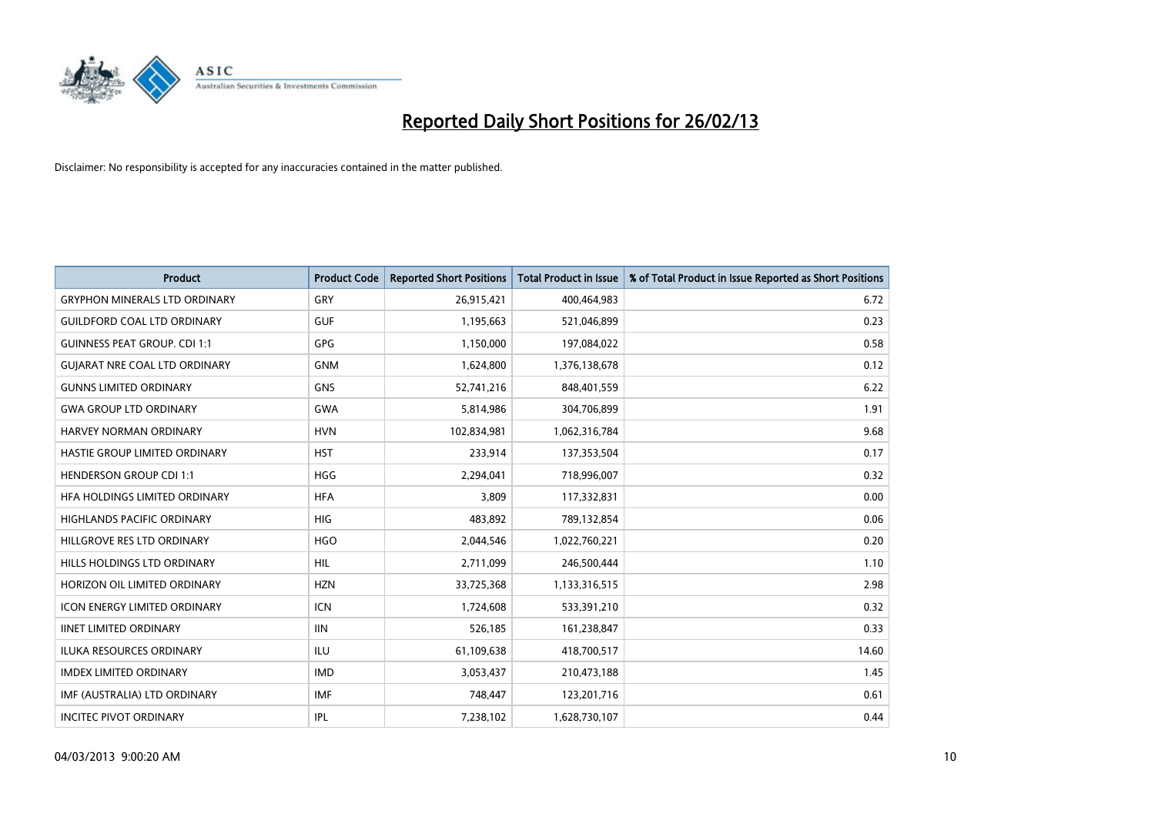

| <b>Product</b>                       | <b>Product Code</b> | <b>Reported Short Positions</b> | <b>Total Product in Issue</b> | % of Total Product in Issue Reported as Short Positions |
|--------------------------------------|---------------------|---------------------------------|-------------------------------|---------------------------------------------------------|
| <b>GRYPHON MINERALS LTD ORDINARY</b> | GRY                 | 26,915,421                      | 400,464,983                   | 6.72                                                    |
| <b>GUILDFORD COAL LTD ORDINARY</b>   | <b>GUF</b>          | 1,195,663                       | 521,046,899                   | 0.23                                                    |
| <b>GUINNESS PEAT GROUP. CDI 1:1</b>  | GPG                 | 1,150,000                       | 197,084,022                   | 0.58                                                    |
| <b>GUIARAT NRE COAL LTD ORDINARY</b> | <b>GNM</b>          | 1,624,800                       | 1,376,138,678                 | 0.12                                                    |
| <b>GUNNS LIMITED ORDINARY</b>        | <b>GNS</b>          | 52,741,216                      | 848,401,559                   | 6.22                                                    |
| <b>GWA GROUP LTD ORDINARY</b>        | <b>GWA</b>          | 5,814,986                       | 304,706,899                   | 1.91                                                    |
| <b>HARVEY NORMAN ORDINARY</b>        | <b>HVN</b>          | 102,834,981                     | 1,062,316,784                 | 9.68                                                    |
| HASTIE GROUP LIMITED ORDINARY        | <b>HST</b>          | 233,914                         | 137,353,504                   | 0.17                                                    |
| <b>HENDERSON GROUP CDI 1:1</b>       | <b>HGG</b>          | 2,294,041                       | 718,996,007                   | 0.32                                                    |
| HFA HOLDINGS LIMITED ORDINARY        | <b>HFA</b>          | 3,809                           | 117,332,831                   | 0.00                                                    |
| HIGHLANDS PACIFIC ORDINARY           | <b>HIG</b>          | 483,892                         | 789,132,854                   | 0.06                                                    |
| HILLGROVE RES LTD ORDINARY           | <b>HGO</b>          | 2,044,546                       | 1,022,760,221                 | 0.20                                                    |
| HILLS HOLDINGS LTD ORDINARY          | <b>HIL</b>          | 2,711,099                       | 246,500,444                   | 1.10                                                    |
| HORIZON OIL LIMITED ORDINARY         | <b>HZN</b>          | 33,725,368                      | 1,133,316,515                 | 2.98                                                    |
| <b>ICON ENERGY LIMITED ORDINARY</b>  | <b>ICN</b>          | 1,724,608                       | 533,391,210                   | 0.32                                                    |
| <b>IINET LIMITED ORDINARY</b>        | <b>IIN</b>          | 526,185                         | 161,238,847                   | 0.33                                                    |
| ILUKA RESOURCES ORDINARY             | ILU                 | 61,109,638                      | 418,700,517                   | 14.60                                                   |
| <b>IMDEX LIMITED ORDINARY</b>        | <b>IMD</b>          | 3,053,437                       | 210,473,188                   | 1.45                                                    |
| IMF (AUSTRALIA) LTD ORDINARY         | <b>IMF</b>          | 748,447                         | 123,201,716                   | 0.61                                                    |
| <b>INCITEC PIVOT ORDINARY</b>        | IPL                 | 7,238,102                       | 1,628,730,107                 | 0.44                                                    |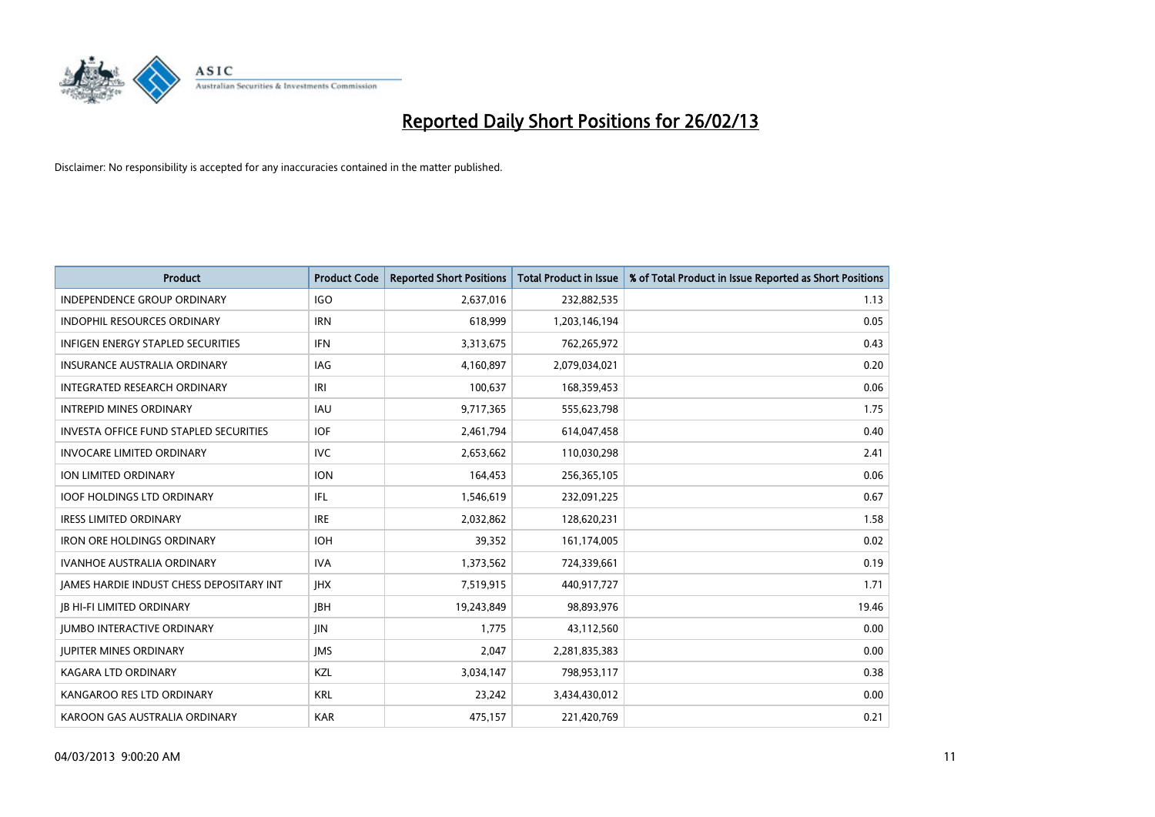

| <b>Product</b>                                  | <b>Product Code</b> | <b>Reported Short Positions</b> | <b>Total Product in Issue</b> | % of Total Product in Issue Reported as Short Positions |
|-------------------------------------------------|---------------------|---------------------------------|-------------------------------|---------------------------------------------------------|
| <b>INDEPENDENCE GROUP ORDINARY</b>              | <b>IGO</b>          | 2,637,016                       | 232,882,535                   | 1.13                                                    |
| INDOPHIL RESOURCES ORDINARY                     | <b>IRN</b>          | 618,999                         | 1,203,146,194                 | 0.05                                                    |
| <b>INFIGEN ENERGY STAPLED SECURITIES</b>        | <b>IFN</b>          | 3,313,675                       | 762,265,972                   | 0.43                                                    |
| <b>INSURANCE AUSTRALIA ORDINARY</b>             | IAG                 | 4,160,897                       | 2,079,034,021                 | 0.20                                                    |
| INTEGRATED RESEARCH ORDINARY                    | IRI                 | 100,637                         | 168,359,453                   | 0.06                                                    |
| <b>INTREPID MINES ORDINARY</b>                  | <b>IAU</b>          | 9,717,365                       | 555,623,798                   | 1.75                                                    |
| <b>INVESTA OFFICE FUND STAPLED SECURITIES</b>   | <b>IOF</b>          | 2,461,794                       | 614,047,458                   | 0.40                                                    |
| <b>INVOCARE LIMITED ORDINARY</b>                | <b>IVC</b>          | 2,653,662                       | 110,030,298                   | 2.41                                                    |
| ION LIMITED ORDINARY                            | <b>ION</b>          | 164,453                         | 256,365,105                   | 0.06                                                    |
| <b>IOOF HOLDINGS LTD ORDINARY</b>               | IFL                 | 1,546,619                       | 232,091,225                   | 0.67                                                    |
| <b>IRESS LIMITED ORDINARY</b>                   | <b>IRE</b>          | 2,032,862                       | 128,620,231                   | 1.58                                                    |
| <b>IRON ORE HOLDINGS ORDINARY</b>               | <b>IOH</b>          | 39,352                          | 161,174,005                   | 0.02                                                    |
| <b>IVANHOE AUSTRALIA ORDINARY</b>               | <b>IVA</b>          | 1,373,562                       | 724,339,661                   | 0.19                                                    |
| <b>JAMES HARDIE INDUST CHESS DEPOSITARY INT</b> | <b>IHX</b>          | 7,519,915                       | 440,917,727                   | 1.71                                                    |
| <b>JB HI-FI LIMITED ORDINARY</b>                | <b>JBH</b>          | 19,243,849                      | 98,893,976                    | 19.46                                                   |
| <b>JUMBO INTERACTIVE ORDINARY</b>               | <b>JIN</b>          | 1,775                           | 43,112,560                    | 0.00                                                    |
| <b>JUPITER MINES ORDINARY</b>                   | <b>IMS</b>          | 2,047                           | 2,281,835,383                 | 0.00                                                    |
| <b>KAGARA LTD ORDINARY</b>                      | KZL                 | 3,034,147                       | 798,953,117                   | 0.38                                                    |
| KANGAROO RES LTD ORDINARY                       | <b>KRL</b>          | 23,242                          | 3,434,430,012                 | 0.00                                                    |
| KAROON GAS AUSTRALIA ORDINARY                   | <b>KAR</b>          | 475,157                         | 221,420,769                   | 0.21                                                    |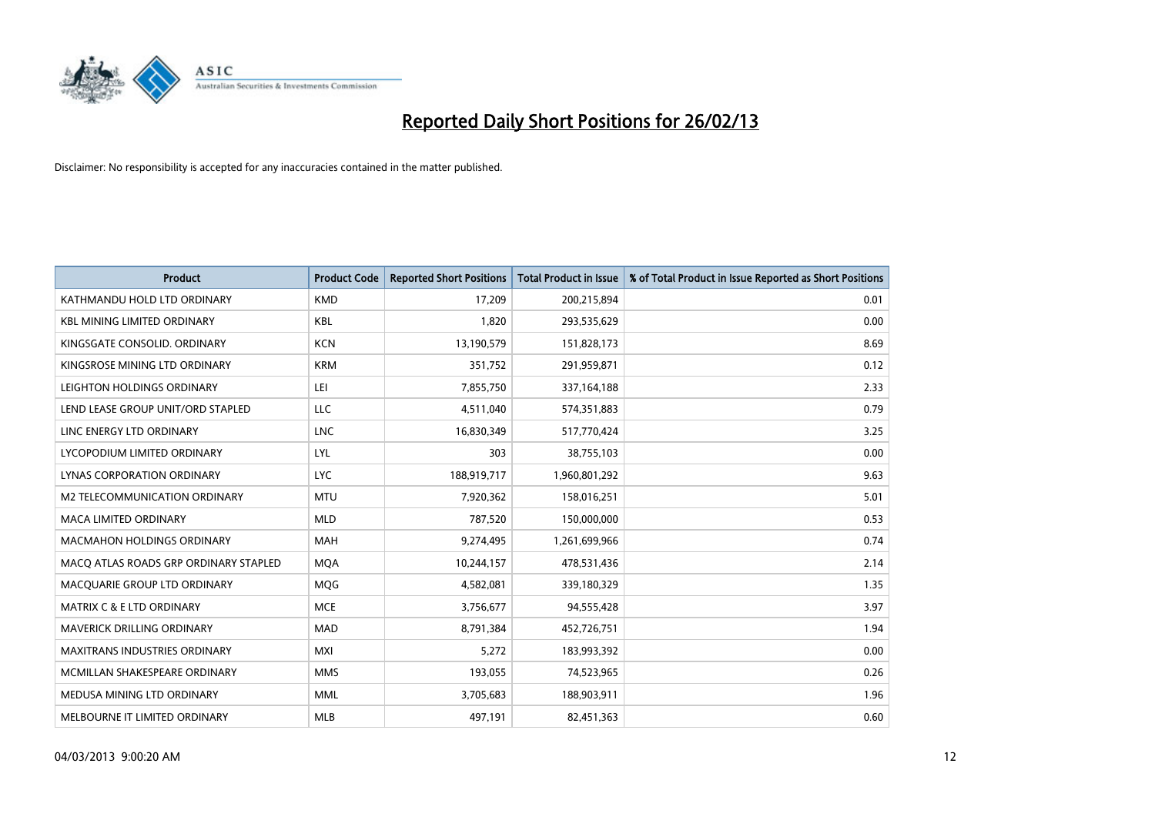

| <b>Product</b>                        | <b>Product Code</b> | <b>Reported Short Positions</b> | <b>Total Product in Issue</b> | % of Total Product in Issue Reported as Short Positions |
|---------------------------------------|---------------------|---------------------------------|-------------------------------|---------------------------------------------------------|
| KATHMANDU HOLD LTD ORDINARY           | <b>KMD</b>          | 17,209                          | 200,215,894                   | 0.01                                                    |
| <b>KBL MINING LIMITED ORDINARY</b>    | <b>KBL</b>          | 1,820                           | 293,535,629                   | 0.00                                                    |
| KINGSGATE CONSOLID. ORDINARY          | <b>KCN</b>          | 13,190,579                      | 151,828,173                   | 8.69                                                    |
| KINGSROSE MINING LTD ORDINARY         | <b>KRM</b>          | 351,752                         | 291,959,871                   | 0.12                                                    |
| LEIGHTON HOLDINGS ORDINARY            | LEI                 | 7,855,750                       | 337, 164, 188                 | 2.33                                                    |
| LEND LEASE GROUP UNIT/ORD STAPLED     | LLC                 | 4,511,040                       | 574,351,883                   | 0.79                                                    |
| LINC ENERGY LTD ORDINARY              | <b>LNC</b>          | 16,830,349                      | 517,770,424                   | 3.25                                                    |
| LYCOPODIUM LIMITED ORDINARY           | LYL                 | 303                             | 38,755,103                    | 0.00                                                    |
| LYNAS CORPORATION ORDINARY            | <b>LYC</b>          | 188,919,717                     | 1,960,801,292                 | 9.63                                                    |
| <b>M2 TELECOMMUNICATION ORDINARY</b>  | <b>MTU</b>          | 7,920,362                       | 158,016,251                   | 5.01                                                    |
| MACA LIMITED ORDINARY                 | <b>MLD</b>          | 787,520                         | 150,000,000                   | 0.53                                                    |
| <b>MACMAHON HOLDINGS ORDINARY</b>     | <b>MAH</b>          | 9,274,495                       | 1,261,699,966                 | 0.74                                                    |
| MACO ATLAS ROADS GRP ORDINARY STAPLED | <b>MQA</b>          | 10,244,157                      | 478,531,436                   | 2.14                                                    |
| MACQUARIE GROUP LTD ORDINARY          | <b>MQG</b>          | 4,582,081                       | 339,180,329                   | 1.35                                                    |
| <b>MATRIX C &amp; E LTD ORDINARY</b>  | <b>MCE</b>          | 3,756,677                       | 94,555,428                    | 3.97                                                    |
| MAVERICK DRILLING ORDINARY            | <b>MAD</b>          | 8,791,384                       | 452,726,751                   | 1.94                                                    |
| <b>MAXITRANS INDUSTRIES ORDINARY</b>  | <b>MXI</b>          | 5,272                           | 183,993,392                   | 0.00                                                    |
| MCMILLAN SHAKESPEARE ORDINARY         | <b>MMS</b>          | 193,055                         | 74,523,965                    | 0.26                                                    |
| MEDUSA MINING LTD ORDINARY            | <b>MML</b>          | 3,705,683                       | 188,903,911                   | 1.96                                                    |
| MELBOURNE IT LIMITED ORDINARY         | <b>MLB</b>          | 497,191                         | 82,451,363                    | 0.60                                                    |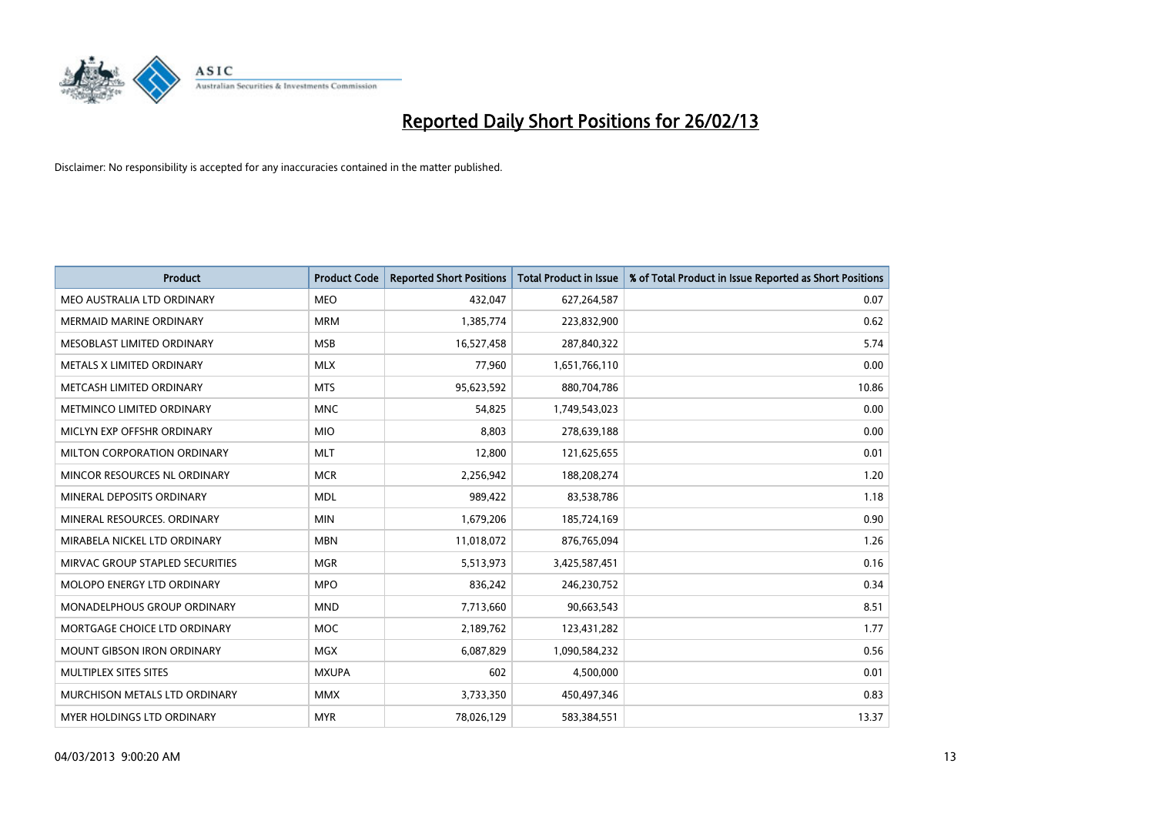

| <b>Product</b>                  | <b>Product Code</b> | <b>Reported Short Positions</b> | <b>Total Product in Issue</b> | % of Total Product in Issue Reported as Short Positions |
|---------------------------------|---------------------|---------------------------------|-------------------------------|---------------------------------------------------------|
| MEO AUSTRALIA LTD ORDINARY      | <b>MEO</b>          | 432,047                         | 627,264,587                   | 0.07                                                    |
| MERMAID MARINE ORDINARY         | <b>MRM</b>          | 1,385,774                       | 223,832,900                   | 0.62                                                    |
| MESOBLAST LIMITED ORDINARY      | <b>MSB</b>          | 16,527,458                      | 287,840,322                   | 5.74                                                    |
| METALS X LIMITED ORDINARY       | <b>MLX</b>          | 77,960                          | 1,651,766,110                 | 0.00                                                    |
| METCASH LIMITED ORDINARY        | <b>MTS</b>          | 95,623,592                      | 880,704,786                   | 10.86                                                   |
| METMINCO LIMITED ORDINARY       | <b>MNC</b>          | 54,825                          | 1,749,543,023                 | 0.00                                                    |
| MICLYN EXP OFFSHR ORDINARY      | <b>MIO</b>          | 8,803                           | 278,639,188                   | 0.00                                                    |
| MILTON CORPORATION ORDINARY     | <b>MLT</b>          | 12,800                          | 121,625,655                   | 0.01                                                    |
| MINCOR RESOURCES NL ORDINARY    | <b>MCR</b>          | 2,256,942                       | 188,208,274                   | 1.20                                                    |
| MINERAL DEPOSITS ORDINARY       | <b>MDL</b>          | 989,422                         | 83,538,786                    | 1.18                                                    |
| MINERAL RESOURCES. ORDINARY     | <b>MIN</b>          | 1,679,206                       | 185,724,169                   | 0.90                                                    |
| MIRABELA NICKEL LTD ORDINARY    | <b>MBN</b>          | 11,018,072                      | 876,765,094                   | 1.26                                                    |
| MIRVAC GROUP STAPLED SECURITIES | <b>MGR</b>          | 5,513,973                       | 3,425,587,451                 | 0.16                                                    |
| MOLOPO ENERGY LTD ORDINARY      | <b>MPO</b>          | 836,242                         | 246,230,752                   | 0.34                                                    |
| MONADELPHOUS GROUP ORDINARY     | <b>MND</b>          | 7,713,660                       | 90,663,543                    | 8.51                                                    |
| MORTGAGE CHOICE LTD ORDINARY    | MOC                 | 2,189,762                       | 123,431,282                   | 1.77                                                    |
| MOUNT GIBSON IRON ORDINARY      | <b>MGX</b>          | 6,087,829                       | 1,090,584,232                 | 0.56                                                    |
| MULTIPLEX SITES SITES           | <b>MXUPA</b>        | 602                             | 4,500,000                     | 0.01                                                    |
| MURCHISON METALS LTD ORDINARY   | <b>MMX</b>          | 3,733,350                       | 450,497,346                   | 0.83                                                    |
| MYER HOLDINGS LTD ORDINARY      | <b>MYR</b>          | 78,026,129                      | 583,384,551                   | 13.37                                                   |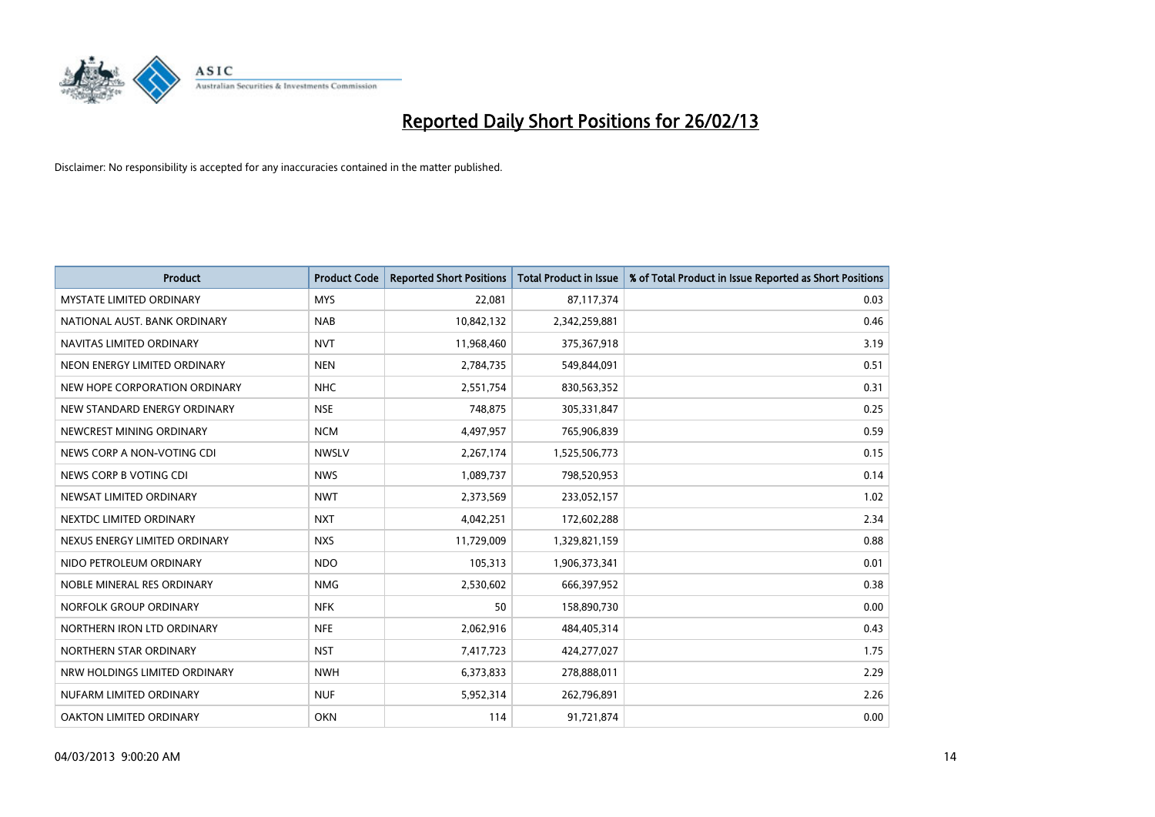

| <b>Product</b>                  | <b>Product Code</b> | <b>Reported Short Positions</b> | <b>Total Product in Issue</b> | % of Total Product in Issue Reported as Short Positions |
|---------------------------------|---------------------|---------------------------------|-------------------------------|---------------------------------------------------------|
| <b>MYSTATE LIMITED ORDINARY</b> | <b>MYS</b>          | 22,081                          | 87,117,374                    | 0.03                                                    |
| NATIONAL AUST. BANK ORDINARY    | <b>NAB</b>          | 10,842,132                      | 2,342,259,881                 | 0.46                                                    |
| NAVITAS LIMITED ORDINARY        | <b>NVT</b>          | 11,968,460                      | 375,367,918                   | 3.19                                                    |
| NEON ENERGY LIMITED ORDINARY    | <b>NEN</b>          | 2,784,735                       | 549,844,091                   | 0.51                                                    |
| NEW HOPE CORPORATION ORDINARY   | <b>NHC</b>          | 2,551,754                       | 830,563,352                   | 0.31                                                    |
| NEW STANDARD ENERGY ORDINARY    | <b>NSE</b>          | 748,875                         | 305,331,847                   | 0.25                                                    |
| NEWCREST MINING ORDINARY        | <b>NCM</b>          | 4,497,957                       | 765,906,839                   | 0.59                                                    |
| NEWS CORP A NON-VOTING CDI      | <b>NWSLV</b>        | 2,267,174                       | 1,525,506,773                 | 0.15                                                    |
| NEWS CORP B VOTING CDI          | <b>NWS</b>          | 1,089,737                       | 798,520,953                   | 0.14                                                    |
| NEWSAT LIMITED ORDINARY         | <b>NWT</b>          | 2,373,569                       | 233,052,157                   | 1.02                                                    |
| NEXTDC LIMITED ORDINARY         | <b>NXT</b>          | 4,042,251                       | 172,602,288                   | 2.34                                                    |
| NEXUS ENERGY LIMITED ORDINARY   | <b>NXS</b>          | 11,729,009                      | 1,329,821,159                 | 0.88                                                    |
| NIDO PETROLEUM ORDINARY         | <b>NDO</b>          | 105,313                         | 1,906,373,341                 | 0.01                                                    |
| NOBLE MINERAL RES ORDINARY      | <b>NMG</b>          | 2,530,602                       | 666,397,952                   | 0.38                                                    |
| NORFOLK GROUP ORDINARY          | <b>NFK</b>          | 50                              | 158,890,730                   | 0.00                                                    |
| NORTHERN IRON LTD ORDINARY      | <b>NFE</b>          | 2,062,916                       | 484,405,314                   | 0.43                                                    |
| NORTHERN STAR ORDINARY          | <b>NST</b>          | 7,417,723                       | 424,277,027                   | 1.75                                                    |
| NRW HOLDINGS LIMITED ORDINARY   | <b>NWH</b>          | 6,373,833                       | 278,888,011                   | 2.29                                                    |
| NUFARM LIMITED ORDINARY         | <b>NUF</b>          | 5,952,314                       | 262,796,891                   | 2.26                                                    |
| OAKTON LIMITED ORDINARY         | <b>OKN</b>          | 114                             | 91,721,874                    | 0.00                                                    |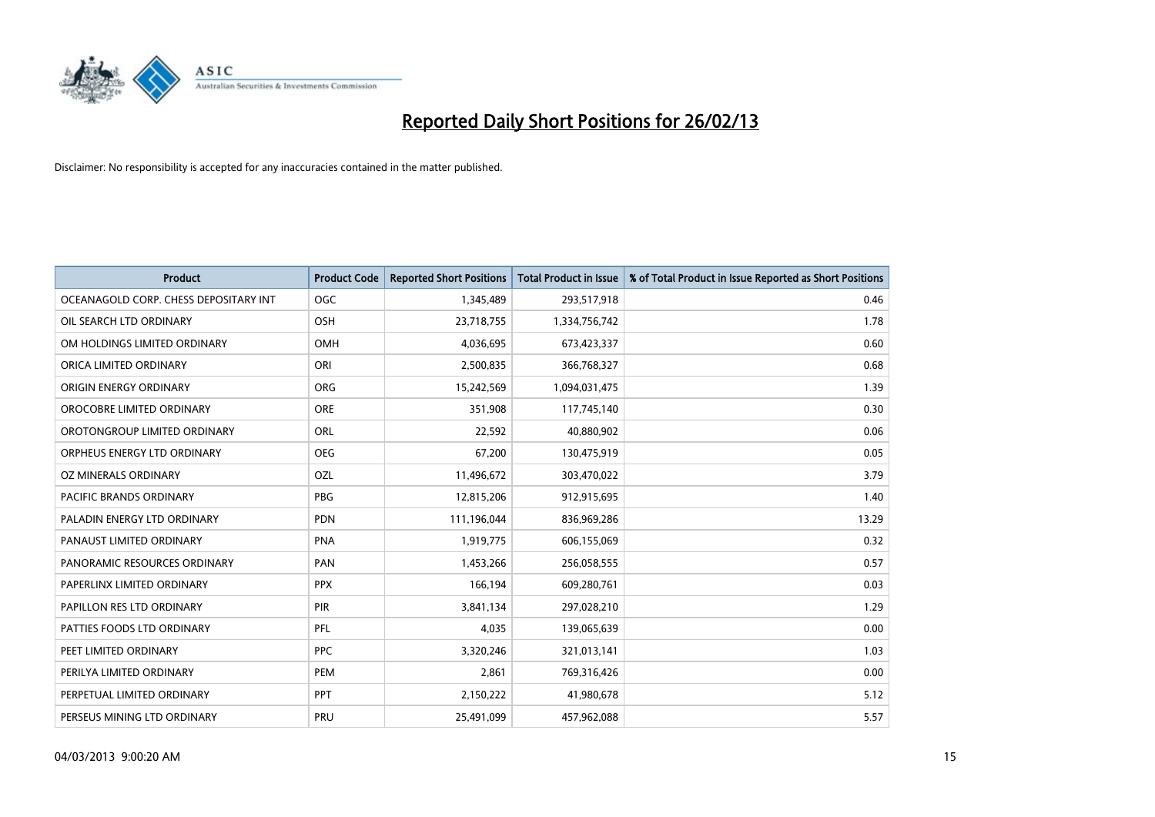

| <b>Product</b>                        | <b>Product Code</b> | <b>Reported Short Positions</b> | <b>Total Product in Issue</b> | % of Total Product in Issue Reported as Short Positions |
|---------------------------------------|---------------------|---------------------------------|-------------------------------|---------------------------------------------------------|
| OCEANAGOLD CORP. CHESS DEPOSITARY INT | <b>OGC</b>          | 1,345,489                       | 293,517,918                   | 0.46                                                    |
| OIL SEARCH LTD ORDINARY               | OSH                 | 23,718,755                      | 1,334,756,742                 | 1.78                                                    |
| OM HOLDINGS LIMITED ORDINARY          | OMH                 | 4,036,695                       | 673,423,337                   | 0.60                                                    |
| ORICA LIMITED ORDINARY                | ORI                 | 2,500,835                       | 366,768,327                   | 0.68                                                    |
| ORIGIN ENERGY ORDINARY                | <b>ORG</b>          | 15,242,569                      | 1,094,031,475                 | 1.39                                                    |
| OROCOBRE LIMITED ORDINARY             | <b>ORE</b>          | 351,908                         | 117,745,140                   | 0.30                                                    |
| OROTONGROUP LIMITED ORDINARY          | <b>ORL</b>          | 22,592                          | 40,880,902                    | 0.06                                                    |
| ORPHEUS ENERGY LTD ORDINARY           | <b>OEG</b>          | 67,200                          | 130,475,919                   | 0.05                                                    |
| <b>OZ MINERALS ORDINARY</b>           | OZL                 | 11,496,672                      | 303,470,022                   | 3.79                                                    |
| PACIFIC BRANDS ORDINARY               | <b>PBG</b>          | 12,815,206                      | 912,915,695                   | 1.40                                                    |
| PALADIN ENERGY LTD ORDINARY           | PDN                 | 111,196,044                     | 836,969,286                   | 13.29                                                   |
| PANAUST LIMITED ORDINARY              | <b>PNA</b>          | 1,919,775                       | 606,155,069                   | 0.32                                                    |
| PANORAMIC RESOURCES ORDINARY          | PAN                 | 1,453,266                       | 256,058,555                   | 0.57                                                    |
| PAPERLINX LIMITED ORDINARY            | <b>PPX</b>          | 166,194                         | 609,280,761                   | 0.03                                                    |
| PAPILLON RES LTD ORDINARY             | PIR                 | 3,841,134                       | 297,028,210                   | 1.29                                                    |
| PATTIES FOODS LTD ORDINARY            | PFL                 | 4,035                           | 139,065,639                   | 0.00                                                    |
| PEET LIMITED ORDINARY                 | <b>PPC</b>          | 3,320,246                       | 321,013,141                   | 1.03                                                    |
| PERILYA LIMITED ORDINARY              | PEM                 | 2,861                           | 769,316,426                   | 0.00                                                    |
| PERPETUAL LIMITED ORDINARY            | <b>PPT</b>          | 2,150,222                       | 41,980,678                    | 5.12                                                    |
| PERSEUS MINING LTD ORDINARY           | PRU                 | 25,491,099                      | 457,962,088                   | 5.57                                                    |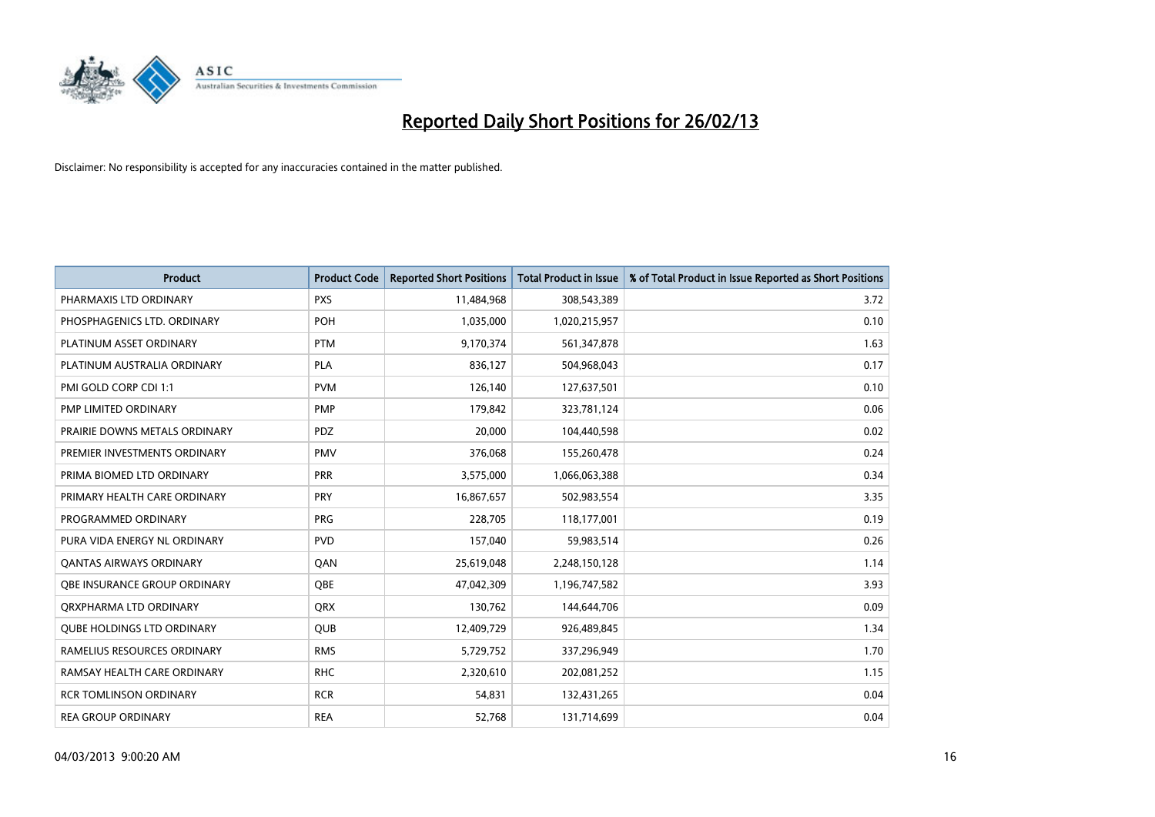

| <b>Product</b>                    | <b>Product Code</b> | <b>Reported Short Positions</b> | <b>Total Product in Issue</b> | % of Total Product in Issue Reported as Short Positions |
|-----------------------------------|---------------------|---------------------------------|-------------------------------|---------------------------------------------------------|
| PHARMAXIS LTD ORDINARY            | <b>PXS</b>          | 11,484,968                      | 308,543,389                   | 3.72                                                    |
| PHOSPHAGENICS LTD. ORDINARY       | <b>POH</b>          | 1,035,000                       | 1,020,215,957                 | 0.10                                                    |
| PLATINUM ASSET ORDINARY           | <b>PTM</b>          | 9,170,374                       | 561,347,878                   | 1.63                                                    |
| PLATINUM AUSTRALIA ORDINARY       | <b>PLA</b>          | 836,127                         | 504,968,043                   | 0.17                                                    |
| PMI GOLD CORP CDI 1:1             | <b>PVM</b>          | 126,140                         | 127,637,501                   | 0.10                                                    |
| PMP LIMITED ORDINARY              | <b>PMP</b>          | 179,842                         | 323,781,124                   | 0.06                                                    |
| PRAIRIE DOWNS METALS ORDINARY     | PDZ                 | 20,000                          | 104,440,598                   | 0.02                                                    |
| PREMIER INVESTMENTS ORDINARY      | <b>PMV</b>          | 376,068                         | 155,260,478                   | 0.24                                                    |
| PRIMA BIOMED LTD ORDINARY         | <b>PRR</b>          | 3,575,000                       | 1,066,063,388                 | 0.34                                                    |
| PRIMARY HEALTH CARE ORDINARY      | <b>PRY</b>          | 16,867,657                      | 502,983,554                   | 3.35                                                    |
| PROGRAMMED ORDINARY               | <b>PRG</b>          | 228,705                         | 118,177,001                   | 0.19                                                    |
| PURA VIDA ENERGY NL ORDINARY      | <b>PVD</b>          | 157,040                         | 59,983,514                    | 0.26                                                    |
| <b>QANTAS AIRWAYS ORDINARY</b>    | QAN                 | 25,619,048                      | 2,248,150,128                 | 1.14                                                    |
| OBE INSURANCE GROUP ORDINARY      | OBE                 | 47,042,309                      | 1,196,747,582                 | 3.93                                                    |
| ORXPHARMA LTD ORDINARY            | QRX                 | 130,762                         | 144,644,706                   | 0.09                                                    |
| <b>QUBE HOLDINGS LTD ORDINARY</b> | <b>QUB</b>          | 12,409,729                      | 926,489,845                   | 1.34                                                    |
| RAMELIUS RESOURCES ORDINARY       | <b>RMS</b>          | 5,729,752                       | 337,296,949                   | 1.70                                                    |
| RAMSAY HEALTH CARE ORDINARY       | <b>RHC</b>          | 2,320,610                       | 202,081,252                   | 1.15                                                    |
| <b>RCR TOMLINSON ORDINARY</b>     | <b>RCR</b>          | 54,831                          | 132,431,265                   | 0.04                                                    |
| <b>REA GROUP ORDINARY</b>         | <b>REA</b>          | 52,768                          | 131,714,699                   | 0.04                                                    |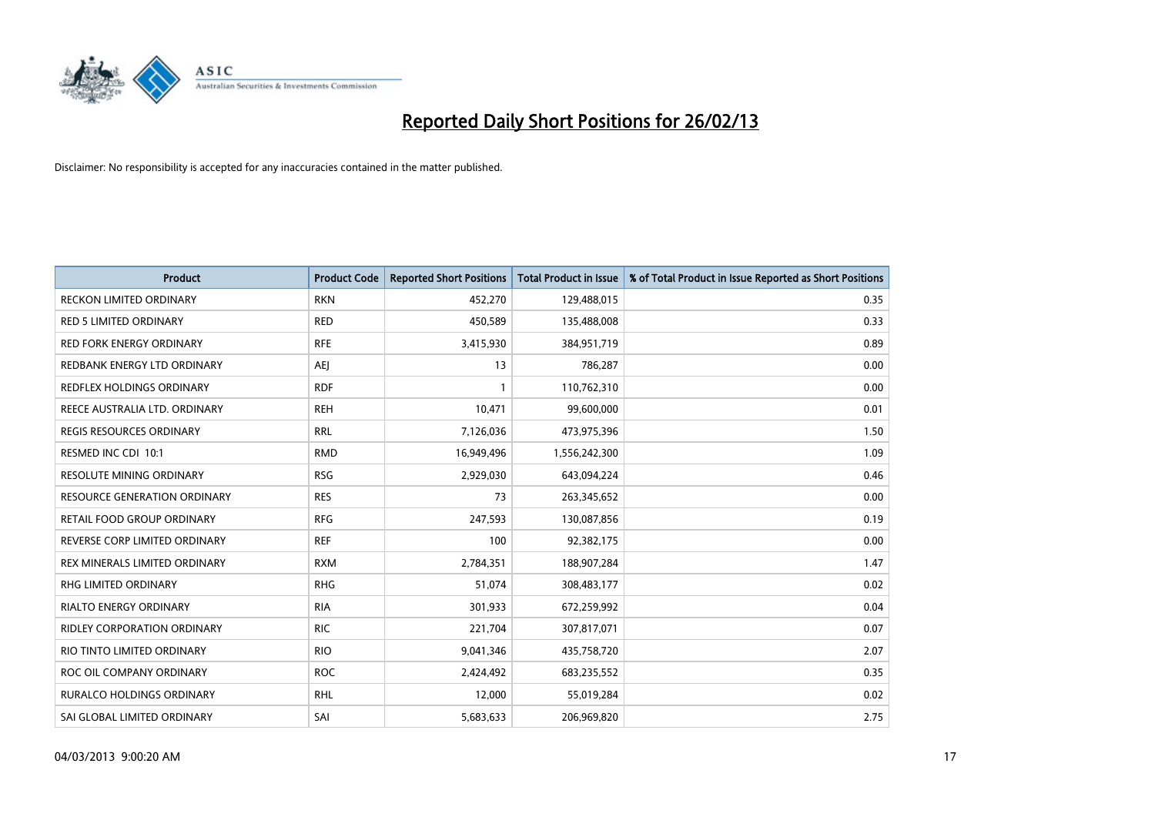

| Product                             | <b>Product Code</b> | <b>Reported Short Positions</b> | <b>Total Product in Issue</b> | % of Total Product in Issue Reported as Short Positions |
|-------------------------------------|---------------------|---------------------------------|-------------------------------|---------------------------------------------------------|
| <b>RECKON LIMITED ORDINARY</b>      | <b>RKN</b>          | 452,270                         | 129,488,015                   | 0.35                                                    |
| <b>RED 5 LIMITED ORDINARY</b>       | <b>RED</b>          | 450,589                         | 135,488,008                   | 0.33                                                    |
| <b>RED FORK ENERGY ORDINARY</b>     | <b>RFE</b>          | 3,415,930                       | 384,951,719                   | 0.89                                                    |
| REDBANK ENERGY LTD ORDINARY         | AEJ                 | 13                              | 786,287                       | 0.00                                                    |
| <b>REDFLEX HOLDINGS ORDINARY</b>    | <b>RDF</b>          | $\mathbf{1}$                    | 110,762,310                   | 0.00                                                    |
| REECE AUSTRALIA LTD. ORDINARY       | <b>REH</b>          | 10,471                          | 99,600,000                    | 0.01                                                    |
| <b>REGIS RESOURCES ORDINARY</b>     | <b>RRL</b>          | 7,126,036                       | 473,975,396                   | 1.50                                                    |
| RESMED INC CDI 10:1                 | <b>RMD</b>          | 16,949,496                      | 1,556,242,300                 | 1.09                                                    |
| <b>RESOLUTE MINING ORDINARY</b>     | <b>RSG</b>          | 2,929,030                       | 643,094,224                   | 0.46                                                    |
| <b>RESOURCE GENERATION ORDINARY</b> | <b>RES</b>          | 73                              | 263,345,652                   | 0.00                                                    |
| RETAIL FOOD GROUP ORDINARY          | <b>RFG</b>          | 247,593                         | 130,087,856                   | 0.19                                                    |
| REVERSE CORP LIMITED ORDINARY       | <b>REF</b>          | 100                             | 92,382,175                    | 0.00                                                    |
| REX MINERALS LIMITED ORDINARY       | <b>RXM</b>          | 2,784,351                       | 188,907,284                   | 1.47                                                    |
| <b>RHG LIMITED ORDINARY</b>         | <b>RHG</b>          | 51,074                          | 308,483,177                   | 0.02                                                    |
| <b>RIALTO ENERGY ORDINARY</b>       | <b>RIA</b>          | 301,933                         | 672,259,992                   | 0.04                                                    |
| RIDLEY CORPORATION ORDINARY         | <b>RIC</b>          | 221,704                         | 307,817,071                   | 0.07                                                    |
| RIO TINTO LIMITED ORDINARY          | <b>RIO</b>          | 9,041,346                       | 435,758,720                   | 2.07                                                    |
| ROC OIL COMPANY ORDINARY            | <b>ROC</b>          | 2,424,492                       | 683,235,552                   | 0.35                                                    |
| <b>RURALCO HOLDINGS ORDINARY</b>    | <b>RHL</b>          | 12,000                          | 55,019,284                    | 0.02                                                    |
| SAI GLOBAL LIMITED ORDINARY         | SAI                 | 5,683,633                       | 206,969,820                   | 2.75                                                    |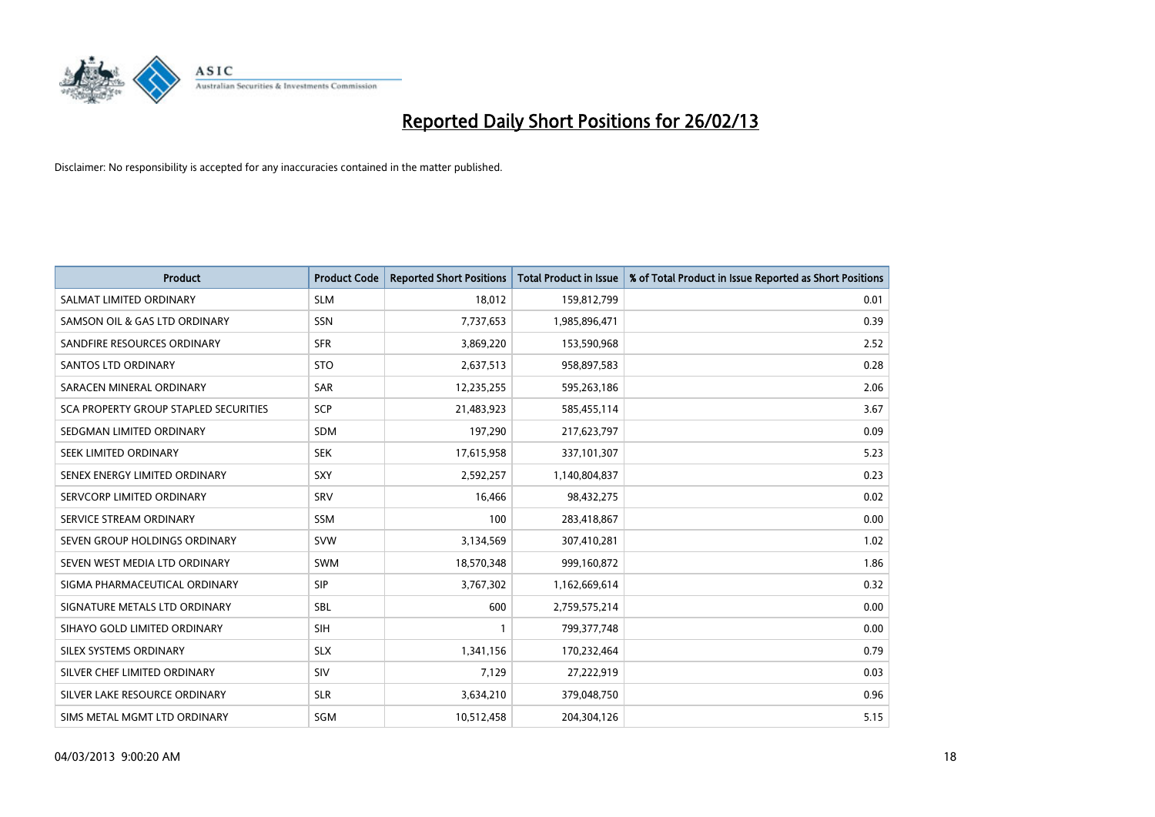

| <b>Product</b>                        | <b>Product Code</b> | <b>Reported Short Positions</b> | <b>Total Product in Issue</b> | % of Total Product in Issue Reported as Short Positions |
|---------------------------------------|---------------------|---------------------------------|-------------------------------|---------------------------------------------------------|
| SALMAT LIMITED ORDINARY               | <b>SLM</b>          | 18,012                          | 159,812,799                   | 0.01                                                    |
| SAMSON OIL & GAS LTD ORDINARY         | <b>SSN</b>          | 7,737,653                       | 1,985,896,471                 | 0.39                                                    |
| SANDFIRE RESOURCES ORDINARY           | <b>SFR</b>          | 3,869,220                       | 153,590,968                   | 2.52                                                    |
| <b>SANTOS LTD ORDINARY</b>            | <b>STO</b>          | 2,637,513                       | 958,897,583                   | 0.28                                                    |
| SARACEN MINERAL ORDINARY              | <b>SAR</b>          | 12,235,255                      | 595,263,186                   | 2.06                                                    |
| SCA PROPERTY GROUP STAPLED SECURITIES | <b>SCP</b>          | 21,483,923                      | 585,455,114                   | 3.67                                                    |
| SEDGMAN LIMITED ORDINARY              | <b>SDM</b>          | 197,290                         | 217,623,797                   | 0.09                                                    |
| SEEK LIMITED ORDINARY                 | <b>SEK</b>          | 17,615,958                      | 337,101,307                   | 5.23                                                    |
| SENEX ENERGY LIMITED ORDINARY         | SXY                 | 2,592,257                       | 1,140,804,837                 | 0.23                                                    |
| SERVCORP LIMITED ORDINARY             | SRV                 | 16,466                          | 98,432,275                    | 0.02                                                    |
| SERVICE STREAM ORDINARY               | <b>SSM</b>          | 100                             | 283,418,867                   | 0.00                                                    |
| SEVEN GROUP HOLDINGS ORDINARY         | <b>SVW</b>          | 3,134,569                       | 307,410,281                   | 1.02                                                    |
| SEVEN WEST MEDIA LTD ORDINARY         | <b>SWM</b>          | 18,570,348                      | 999,160,872                   | 1.86                                                    |
| SIGMA PHARMACEUTICAL ORDINARY         | <b>SIP</b>          | 3,767,302                       | 1,162,669,614                 | 0.32                                                    |
| SIGNATURE METALS LTD ORDINARY         | <b>SBL</b>          | 600                             | 2,759,575,214                 | 0.00                                                    |
| SIHAYO GOLD LIMITED ORDINARY          | SIH                 |                                 | 799, 377, 748                 | 0.00                                                    |
| SILEX SYSTEMS ORDINARY                | <b>SLX</b>          | 1,341,156                       | 170,232,464                   | 0.79                                                    |
| SILVER CHEF LIMITED ORDINARY          | SIV                 | 7,129                           | 27,222,919                    | 0.03                                                    |
| SILVER LAKE RESOURCE ORDINARY         | <b>SLR</b>          | 3,634,210                       | 379,048,750                   | 0.96                                                    |
| SIMS METAL MGMT LTD ORDINARY          | <b>SGM</b>          | 10,512,458                      | 204,304,126                   | 5.15                                                    |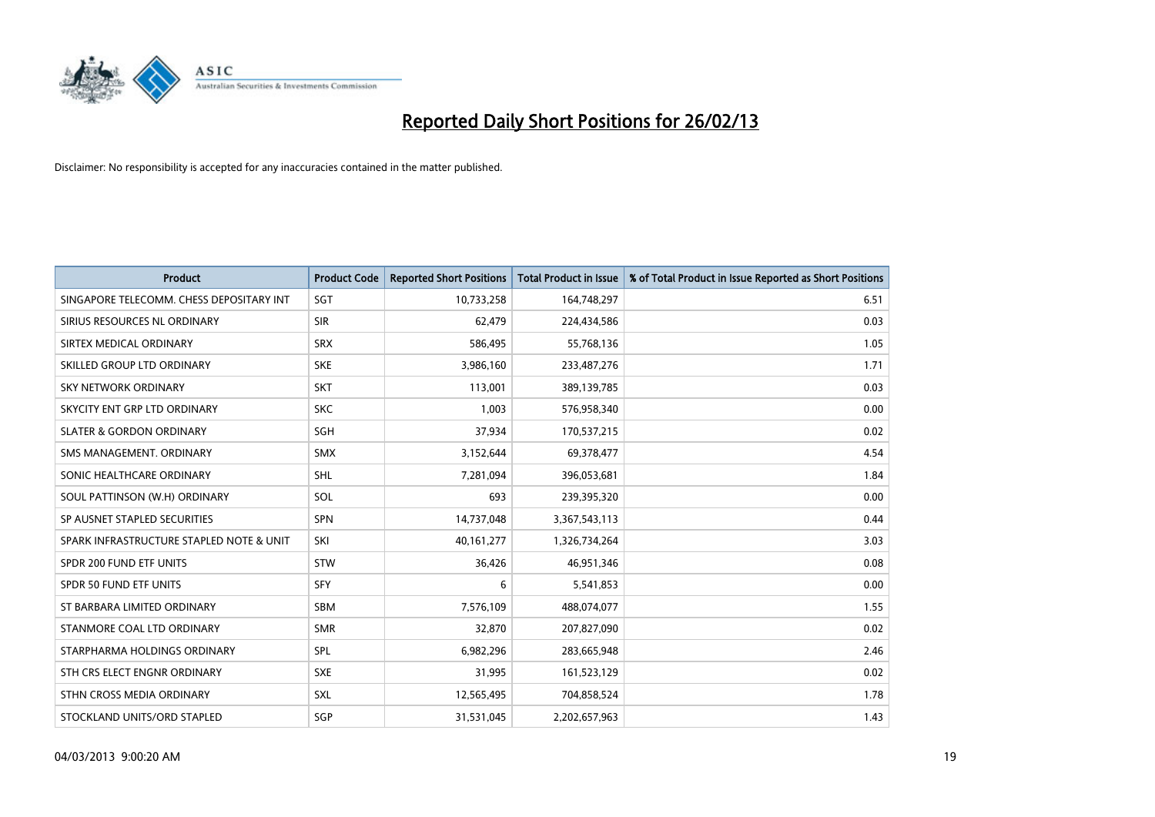

| <b>Product</b>                           | <b>Product Code</b> | <b>Reported Short Positions</b> | <b>Total Product in Issue</b> | % of Total Product in Issue Reported as Short Positions |
|------------------------------------------|---------------------|---------------------------------|-------------------------------|---------------------------------------------------------|
| SINGAPORE TELECOMM. CHESS DEPOSITARY INT | SGT                 | 10,733,258                      | 164,748,297                   | 6.51                                                    |
| SIRIUS RESOURCES NL ORDINARY             | <b>SIR</b>          | 62,479                          | 224,434,586                   | 0.03                                                    |
| SIRTEX MEDICAL ORDINARY                  | <b>SRX</b>          | 586,495                         | 55,768,136                    | 1.05                                                    |
| SKILLED GROUP LTD ORDINARY               | <b>SKE</b>          | 3,986,160                       | 233,487,276                   | 1.71                                                    |
| <b>SKY NETWORK ORDINARY</b>              | <b>SKT</b>          | 113,001                         | 389,139,785                   | 0.03                                                    |
| SKYCITY ENT GRP LTD ORDINARY             | <b>SKC</b>          | 1,003                           | 576,958,340                   | 0.00                                                    |
| <b>SLATER &amp; GORDON ORDINARY</b>      | SGH                 | 37,934                          | 170,537,215                   | 0.02                                                    |
| SMS MANAGEMENT, ORDINARY                 | <b>SMX</b>          | 3,152,644                       | 69,378,477                    | 4.54                                                    |
| SONIC HEALTHCARE ORDINARY                | <b>SHL</b>          | 7,281,094                       | 396,053,681                   | 1.84                                                    |
| SOUL PATTINSON (W.H) ORDINARY            | <b>SOL</b>          | 693                             | 239,395,320                   | 0.00                                                    |
| SP AUSNET STAPLED SECURITIES             | SPN                 | 14,737,048                      | 3,367,543,113                 | 0.44                                                    |
| SPARK INFRASTRUCTURE STAPLED NOTE & UNIT | SKI                 | 40,161,277                      | 1,326,734,264                 | 3.03                                                    |
| SPDR 200 FUND ETF UNITS                  | <b>STW</b>          | 36,426                          | 46,951,346                    | 0.08                                                    |
| SPDR 50 FUND ETF UNITS                   | SFY                 | 6                               | 5,541,853                     | 0.00                                                    |
| ST BARBARA LIMITED ORDINARY              | <b>SBM</b>          | 7,576,109                       | 488,074,077                   | 1.55                                                    |
| STANMORE COAL LTD ORDINARY               | <b>SMR</b>          | 32,870                          | 207,827,090                   | 0.02                                                    |
| STARPHARMA HOLDINGS ORDINARY             | SPL                 | 6,982,296                       | 283,665,948                   | 2.46                                                    |
| STH CRS ELECT ENGNR ORDINARY             | <b>SXE</b>          | 31,995                          | 161,523,129                   | 0.02                                                    |
| STHN CROSS MEDIA ORDINARY                | SXL                 | 12,565,495                      | 704,858,524                   | 1.78                                                    |
| STOCKLAND UNITS/ORD STAPLED              | SGP                 | 31,531,045                      | 2,202,657,963                 | 1.43                                                    |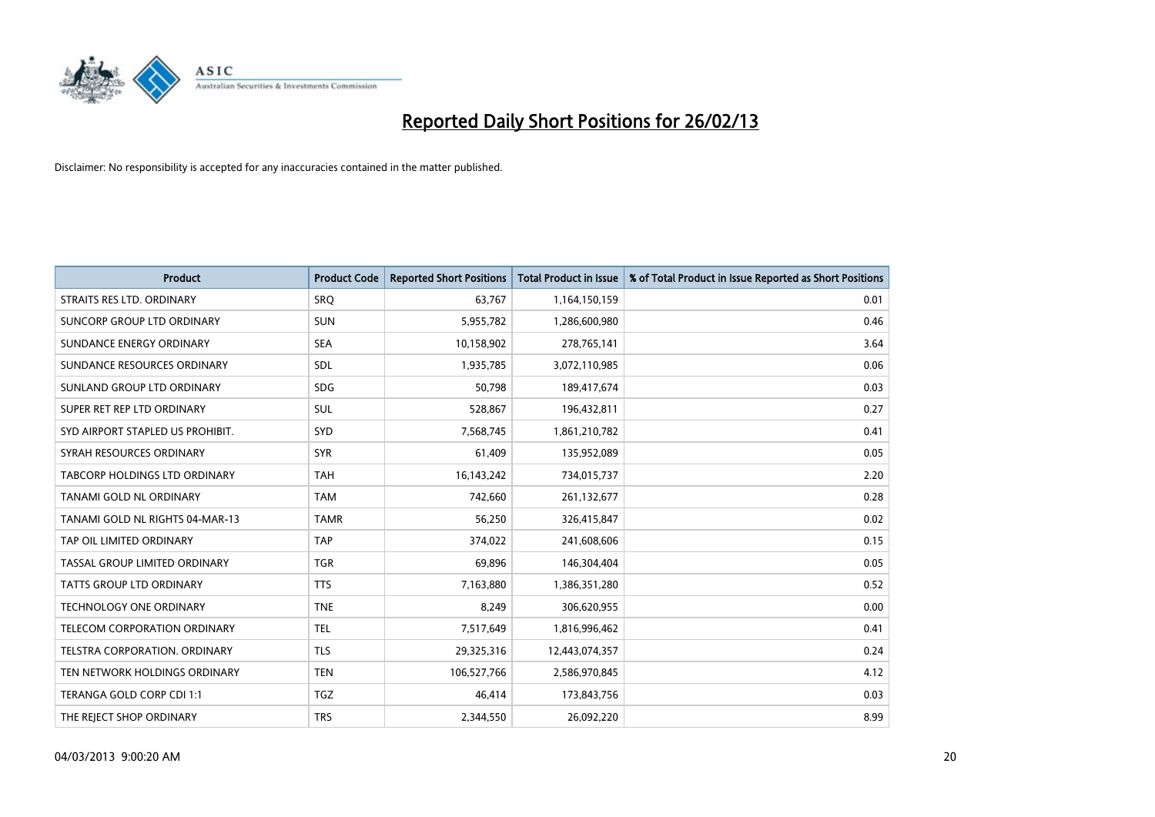

| <b>Product</b>                   | <b>Product Code</b> | <b>Reported Short Positions</b> | <b>Total Product in Issue</b> | % of Total Product in Issue Reported as Short Positions |
|----------------------------------|---------------------|---------------------------------|-------------------------------|---------------------------------------------------------|
| STRAITS RES LTD. ORDINARY        | <b>SRO</b>          | 63,767                          | 1,164,150,159                 | 0.01                                                    |
| SUNCORP GROUP LTD ORDINARY       | <b>SUN</b>          | 5,955,782                       | 1,286,600,980                 | 0.46                                                    |
| SUNDANCE ENERGY ORDINARY         | <b>SEA</b>          | 10,158,902                      | 278,765,141                   | 3.64                                                    |
| SUNDANCE RESOURCES ORDINARY      | SDL                 | 1,935,785                       | 3,072,110,985                 | 0.06                                                    |
| SUNLAND GROUP LTD ORDINARY       | <b>SDG</b>          | 50,798                          | 189,417,674                   | 0.03                                                    |
| SUPER RET REP LTD ORDINARY       | SUL                 | 528,867                         | 196,432,811                   | 0.27                                                    |
| SYD AIRPORT STAPLED US PROHIBIT. | <b>SYD</b>          | 7,568,745                       | 1,861,210,782                 | 0.41                                                    |
| SYRAH RESOURCES ORDINARY         | <b>SYR</b>          | 61,409                          | 135,952,089                   | 0.05                                                    |
| TABCORP HOLDINGS LTD ORDINARY    | <b>TAH</b>          | 16, 143, 242                    | 734,015,737                   | 2.20                                                    |
| TANAMI GOLD NL ORDINARY          | <b>TAM</b>          | 742,660                         | 261,132,677                   | 0.28                                                    |
| TANAMI GOLD NL RIGHTS 04-MAR-13  | <b>TAMR</b>         | 56,250                          | 326,415,847                   | 0.02                                                    |
| TAP OIL LIMITED ORDINARY         | <b>TAP</b>          | 374,022                         | 241,608,606                   | 0.15                                                    |
| TASSAL GROUP LIMITED ORDINARY    | <b>TGR</b>          | 69,896                          | 146,304,404                   | 0.05                                                    |
| <b>TATTS GROUP LTD ORDINARY</b>  | <b>TTS</b>          | 7,163,880                       | 1,386,351,280                 | 0.52                                                    |
| TECHNOLOGY ONE ORDINARY          | <b>TNE</b>          | 8,249                           | 306,620,955                   | 0.00                                                    |
| TELECOM CORPORATION ORDINARY     | <b>TEL</b>          | 7,517,649                       | 1,816,996,462                 | 0.41                                                    |
| TELSTRA CORPORATION. ORDINARY    | <b>TLS</b>          | 29,325,316                      | 12,443,074,357                | 0.24                                                    |
| TEN NETWORK HOLDINGS ORDINARY    | <b>TEN</b>          | 106,527,766                     | 2,586,970,845                 | 4.12                                                    |
| TERANGA GOLD CORP CDI 1:1        | <b>TGZ</b>          | 46,414                          | 173,843,756                   | 0.03                                                    |
| THE REJECT SHOP ORDINARY         | <b>TRS</b>          | 2,344,550                       | 26,092,220                    | 8.99                                                    |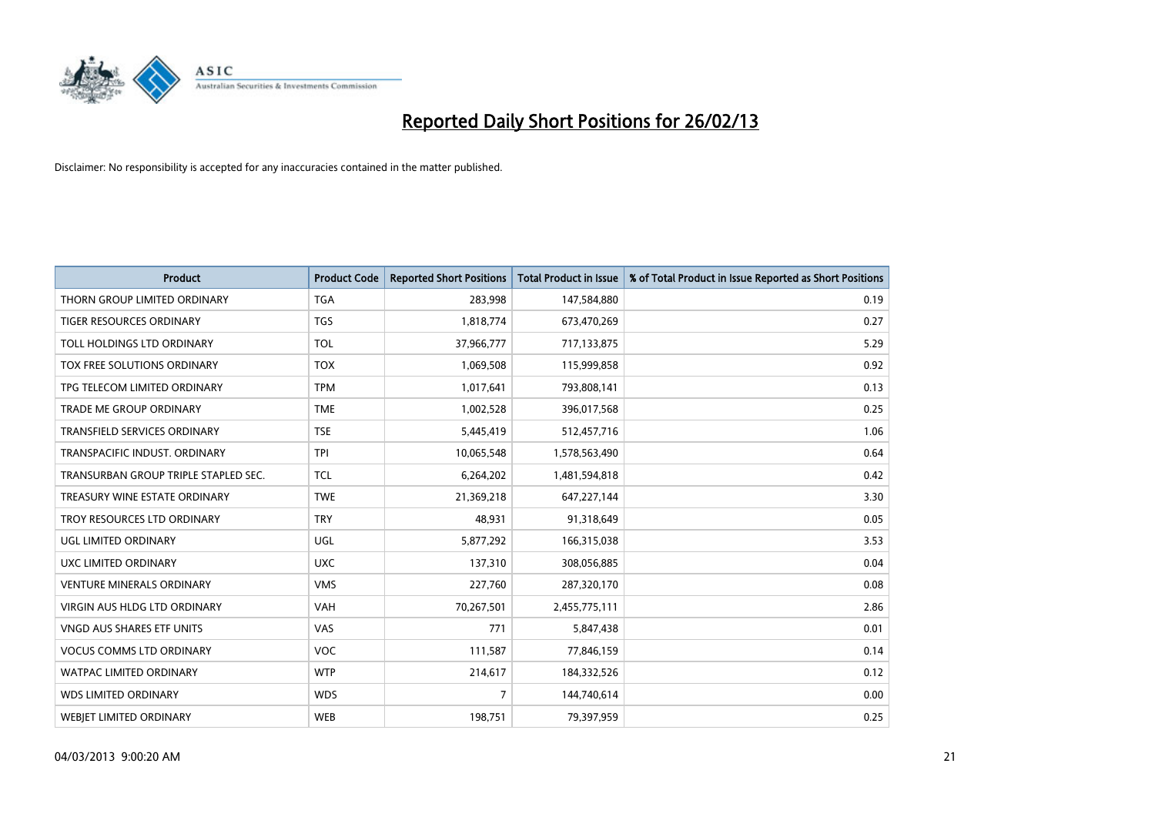

| <b>Product</b>                       | <b>Product Code</b> | <b>Reported Short Positions</b> | <b>Total Product in Issue</b> | % of Total Product in Issue Reported as Short Positions |
|--------------------------------------|---------------------|---------------------------------|-------------------------------|---------------------------------------------------------|
| THORN GROUP LIMITED ORDINARY         | <b>TGA</b>          | 283,998                         | 147,584,880                   | 0.19                                                    |
| TIGER RESOURCES ORDINARY             | <b>TGS</b>          | 1,818,774                       | 673,470,269                   | 0.27                                                    |
| TOLL HOLDINGS LTD ORDINARY           | <b>TOL</b>          | 37,966,777                      | 717,133,875                   | 5.29                                                    |
| TOX FREE SOLUTIONS ORDINARY          | <b>TOX</b>          | 1,069,508                       | 115,999,858                   | 0.92                                                    |
| TPG TELECOM LIMITED ORDINARY         | <b>TPM</b>          | 1,017,641                       | 793,808,141                   | 0.13                                                    |
| <b>TRADE ME GROUP ORDINARY</b>       | <b>TME</b>          | 1,002,528                       | 396,017,568                   | 0.25                                                    |
| TRANSFIELD SERVICES ORDINARY         | <b>TSE</b>          | 5,445,419                       | 512,457,716                   | 1.06                                                    |
| TRANSPACIFIC INDUST. ORDINARY        | <b>TPI</b>          | 10,065,548                      | 1,578,563,490                 | 0.64                                                    |
| TRANSURBAN GROUP TRIPLE STAPLED SEC. | TCL                 | 6,264,202                       | 1,481,594,818                 | 0.42                                                    |
| TREASURY WINE ESTATE ORDINARY        | <b>TWE</b>          | 21,369,218                      | 647,227,144                   | 3.30                                                    |
| TROY RESOURCES LTD ORDINARY          | <b>TRY</b>          | 48,931                          | 91,318,649                    | 0.05                                                    |
| UGL LIMITED ORDINARY                 | UGL                 | 5,877,292                       | 166,315,038                   | 3.53                                                    |
| UXC LIMITED ORDINARY                 | <b>UXC</b>          | 137,310                         | 308,056,885                   | 0.04                                                    |
| <b>VENTURE MINERALS ORDINARY</b>     | <b>VMS</b>          | 227,760                         | 287,320,170                   | 0.08                                                    |
| <b>VIRGIN AUS HLDG LTD ORDINARY</b>  | <b>VAH</b>          | 70,267,501                      | 2,455,775,111                 | 2.86                                                    |
| VNGD AUS SHARES ETF UNITS            | <b>VAS</b>          | 771                             | 5,847,438                     | 0.01                                                    |
| <b>VOCUS COMMS LTD ORDINARY</b>      | VOC                 | 111,587                         | 77,846,159                    | 0.14                                                    |
| <b>WATPAC LIMITED ORDINARY</b>       | <b>WTP</b>          | 214,617                         | 184,332,526                   | 0.12                                                    |
| <b>WDS LIMITED ORDINARY</b>          | <b>WDS</b>          | $\overline{7}$                  | 144,740,614                   | 0.00                                                    |
| <b>WEBJET LIMITED ORDINARY</b>       | <b>WEB</b>          | 198,751                         | 79,397,959                    | 0.25                                                    |